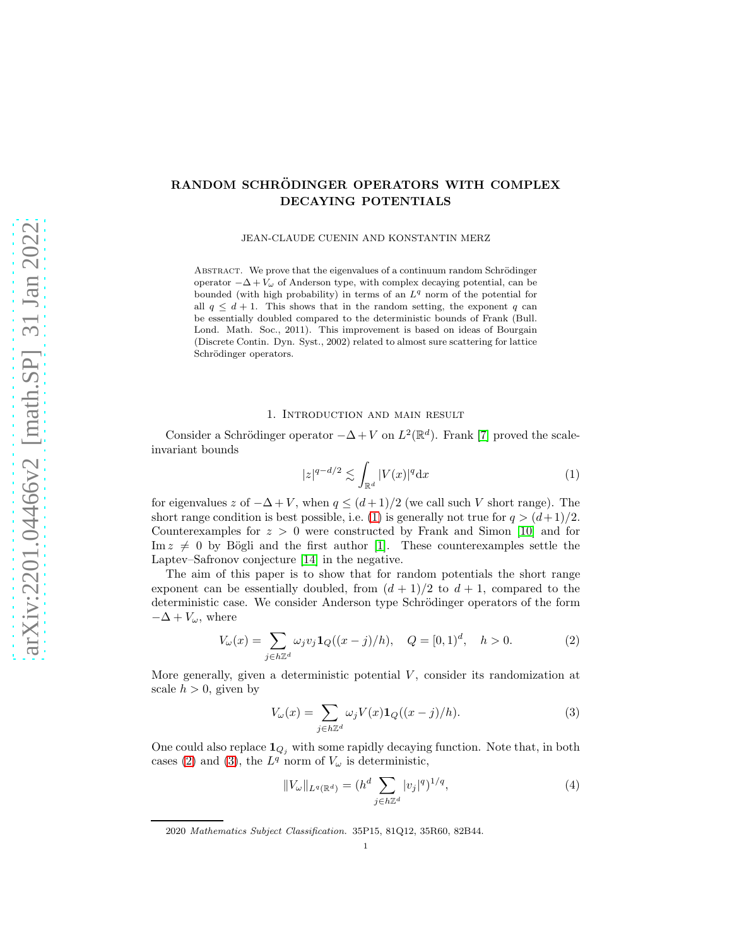# RANDOM SCHRÖDINGER OPERATORS WITH COMPLEX DECAYING POTENTIALS

JEAN-CLAUDE CUENIN AND KONSTANTIN MERZ

ABSTRACT. We prove that the eigenvalues of a continuum random Schrödinger operator  $-\Delta + V_{\omega}$  of Anderson type, with complex decaying potential, can be bounded (with high probability) in terms of an  $L<sup>q</sup>$  norm of the potential for all  $q \leq d + 1$ . This shows that in the random setting, the exponent q can be essentially doubled compared to the deterministic bounds of Frank (Bull. Lond. Math. Soc., 2011). This improvement is based on ideas of Bourgain (Discrete Contin. Dyn. Syst., 2002) related to almost sure scattering for lattice Schrödinger operators.

### 1. Introduction and main result

Consider a Schrödinger operator  $-\Delta + V$  on  $L^2(\mathbb{R}^d)$ . Frank [\[7\]](#page-24-0) proved the scaleinvariant bounds

<span id="page-0-0"></span>
$$
|z|^{q-d/2} \lesssim \int_{\mathbb{R}^d} |V(x)|^q \mathrm{d}x \tag{1}
$$

for eigenvalues z of  $-\Delta + V$ , when  $q \leq (d+1)/2$  (we call such V short range). The short range condition is best possible, i.e. [\(1\)](#page-0-0) is generally not true for  $q > (d+1)/2$ . Counterexamples for  $z > 0$  were constructed by Frank and Simon [\[10\]](#page-24-1) and for Im  $z \neq 0$  by Bögli and the first author [\[1\]](#page-24-2). These counterexamples settle the Laptev–Safronov conjecture [\[14\]](#page-25-0) in the negative.

The aim of this paper is to show that for random potentials the short range exponent can be essentially doubled, from  $(d+1)/2$  to  $d+1$ , compared to the deterministic case. We consider Anderson type Schrödinger operators of the form  $-\Delta + V_{\omega}$ , where

$$
V_{\omega}(x) = \sum_{j \in h \mathbb{Z}^d} \omega_j v_j \mathbf{1}_Q((x-j)/h), \quad Q = [0,1)^d, \quad h > 0.
$$
 (2)

More generally, given a deterministic potential  $V$ , consider its randomization at scale  $h > 0$ , given by

<span id="page-0-1"></span>
$$
V_{\omega}(x) = \sum_{j \in h\mathbb{Z}^d} \omega_j V(x) \mathbf{1}_Q((x-j)/h). \tag{3}
$$

One could also replace  $\mathbf{1}_{Q_j}$  with some rapidly decaying function. Note that, in both cases [\(2\)](#page-0-1) and [\(3\)](#page-0-2), the  $L^q$  norm of  $V_\omega$  is deterministic,

<span id="page-0-3"></span><span id="page-0-2"></span>
$$
||V_{\omega}||_{L^{q}(\mathbb{R}^{d})} = (h^{d} \sum_{j \in h\mathbb{Z}^{d}} |v_{j}|^{q})^{1/q},
$$
\n(4)

<sup>2020</sup> Mathematics Subject Classification. 35P15, 81Q12, 35R60, 82B44.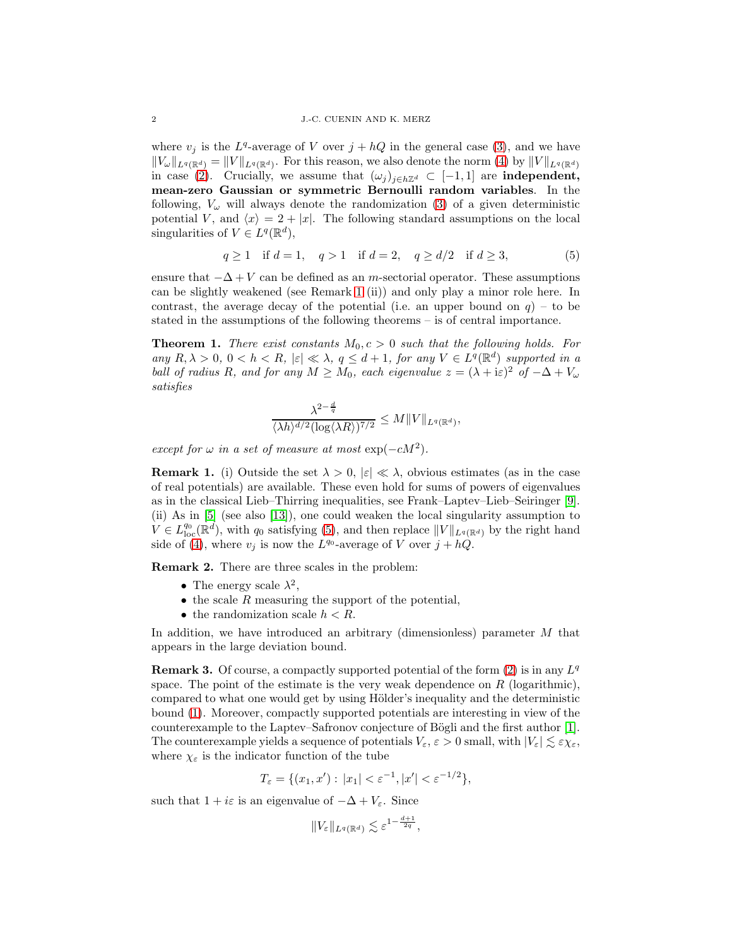where  $v_j$  is the  $L^q$ -average of V over  $j + hQ$  in the general case [\(3\)](#page-0-2), and we have  $||V_\omega||_{L^q(\mathbb{R}^d)} = ||V||_{L^q(\mathbb{R}^d)}$ . For this reason, we also denote the norm [\(4\)](#page-0-3) by  $||V||_{L^q(\mathbb{R}^d)}$ in case [\(2\)](#page-0-1). Crucially, we assume that  $(\omega_j)_{j\in h\mathbb{Z}^d} \subset [-1,1]$  are **independent**, mean-zero Gaussian or symmetric Bernoulli random variables. In the following,  $V_{\omega}$  will always denote the randomization [\(3\)](#page-0-2) of a given deterministic potential V, and  $\langle x \rangle = 2 + |x|$ . The following standard assumptions on the local singularities of  $V \in L^q(\mathbb{R}^d)$ ,

$$
q \ge 1
$$
 if  $d = 1$ ,  $q > 1$  if  $d = 2$ ,  $q \ge d/2$  if  $d \ge 3$ , (5)

ensure that  $-\Delta + V$  can be defined as an m-sectorial operator. These assumptions can be slightly weakened (see Remark [1](#page-1-0) (ii)) and only play a minor role here. In contrast, the average decay of the potential (i.e. an upper bound on  $q$ ) – to be stated in the assumptions of the following theorems – is of central importance.

<span id="page-1-2"></span>**Theorem 1.** There exist constants  $M_0$ ,  $c > 0$  such that the following holds. For any  $R, \lambda > 0, 0 < h < R, |\varepsilon| \ll \lambda, q \leq d+1$ , for any  $V \in L^{q}(\mathbb{R}^{d})$  supported in a ball of radius R, and for any  $M \geq M_0$ , each eigenvalue  $z = (\lambda + i\varepsilon)^2$  of  $-\Delta + V_\omega$ satisfies

<span id="page-1-1"></span>
$$
\frac{\lambda^{2-\frac{d}{q}}}{\langle \lambda h \rangle^{d/2} (\log \langle \lambda R \rangle)^{7/2}} \leq M \| V \|_{L^q(\mathbb{R}^d)},
$$

except for  $\omega$  in a set of measure at most  $\exp(-cM^2)$ .

<span id="page-1-0"></span>**Remark 1.** (i) Outside the set  $\lambda > 0$ ,  $|\varepsilon| \ll \lambda$ , obvious estimates (as in the case of real potentials) are available. These even hold for sums of powers of eigenvalues as in the classical Lieb–Thirring inequalities, see Frank–Laptev–Lieb–Seiringer [\[9\]](#page-24-3). (ii) As in [\[5\]](#page-24-4) (see also [\[13\]](#page-25-1)), one could weaken the local singularity assumption to  $V \in L^{q_0}_{loc}(\mathbb{R}^d)$ , with  $q_0$  satisfying [\(5\)](#page-1-1), and then replace  $||V||_{L^q(\mathbb{R}^d)}$  by the right hand side of [\(4\)](#page-0-3), where  $v_j$  is now the  $L^{q_0}$ -average of V over  $j + hQ$ .

Remark 2. There are three scales in the problem:

- The energy scale  $\lambda^2$ ,
- $\bullet$  the scale R measuring the support of the potential,
- the randomization scale  $h < R$ .

In addition, we have introduced an arbitrary (dimensionless) parameter M that appears in the large deviation bound.

**Remark 3.** Of course, a compactly supported potential of the form  $(2)$  is in any  $L^q$ space. The point of the estimate is the very weak dependence on  $R$  (logarithmic), compared to what one would get by using Hölder's inequality and the deterministic bound [\(1\)](#page-0-0). Moreover, compactly supported potentials are interesting in view of the counterexample to the Laptev–Safronov conjecture of Bögli and the first author [\[1\]](#page-24-2). The counterexample yields a sequence of potentials  $V_{\varepsilon}$ ,  $\varepsilon > 0$  small, with  $|V_{\varepsilon}| \lesssim \varepsilon \chi_{\varepsilon}$ , where  $\chi_{\varepsilon}$  is the indicator function of the tube

$$
T_{\varepsilon} = \{ (x_1, x') : |x_1| < \varepsilon^{-1}, |x'| < \varepsilon^{-1/2} \},
$$

such that  $1 + i\varepsilon$  is an eigenvalue of  $-\Delta + V_{\varepsilon}$ . Since

$$
||V_{\varepsilon}||_{L^{q}(\mathbb{R}^{d})} \lesssim \varepsilon^{1-\frac{d+1}{2q}},
$$

 $\overline{d}$ +1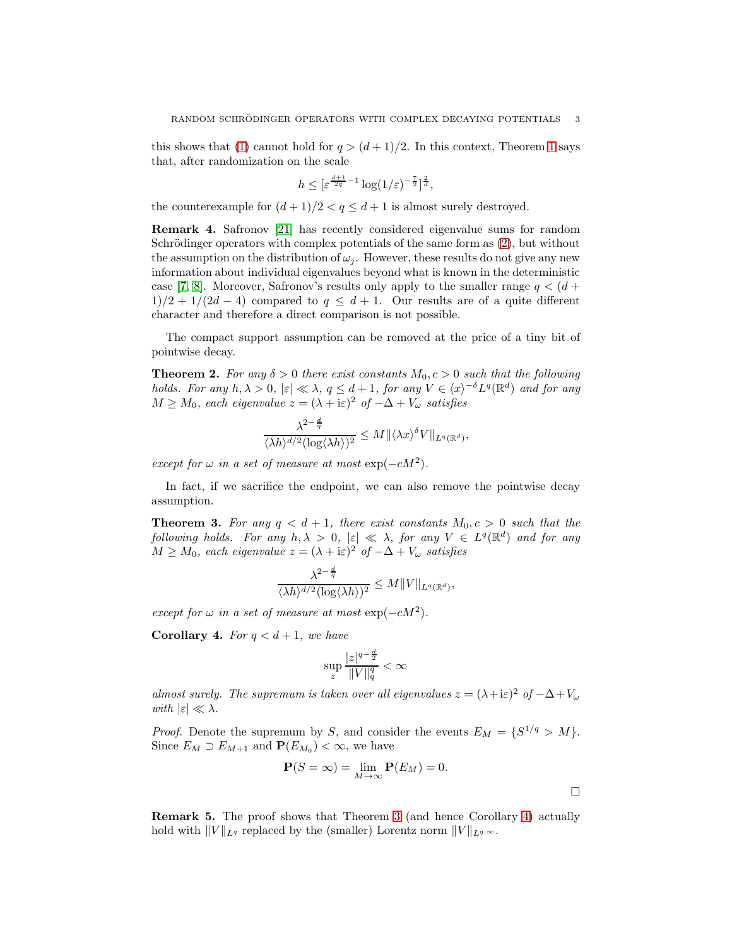this shows that [\(1\)](#page-0-0) cannot hold for  $q > (d+1)/2$ . In this context, Theorem [1](#page-1-2) says that, after randomization on the scale

$$
h \leq \left[\varepsilon^{\frac{d+1}{2q}-1} \log(1/\varepsilon)^{-\frac{7}{2}}\right]^{\frac{2}{d}},
$$

the counterexample for  $(d+1)/2 < q \leq d+1$  is almost surely destroyed.

Remark 4. Safronov [\[21\]](#page-25-2) has recently considered eigenvalue sums for random Schrödinger operators with complex potentials of the same form as  $(2)$ , but without the assumption on the distribution of  $\omega_i$ . However, these results do not give any new information about individual eigenvalues beyond what is known in the deterministic case [\[7,](#page-24-0) [8\]](#page-24-5). Moreover, Safronov's results only apply to the smaller range  $q < (d +$  $1/2 + 1/(2d - 4)$  compared to  $q \leq d + 1$ . Our results are of a quite different character and therefore a direct comparison is not possible.

The compact support assumption can be removed at the price of a tiny bit of pointwise decay.

<span id="page-2-2"></span>**Theorem 2.** For any  $\delta > 0$  there exist constants  $M_0, c > 0$  such that the following holds. For any  $h, \lambda > 0$ ,  $|\varepsilon| \ll \lambda$ ,  $q \leq d+1$ , for any  $V \in \langle x \rangle^{-\delta} L^q(\mathbb{R}^d)$  and for any  $M \geq M_0$ , each eigenvalue  $z = (\lambda + i\varepsilon)^2$  of  $-\Delta + V_\omega$  satisfies

$$
\frac{\lambda^{2-\frac{d}{q}}}{\langle \lambda h \rangle^{d/2} (\log \langle \lambda h \rangle)^2} \leq M \| \langle \lambda x \rangle^{\delta} V \|_{L^q(\mathbb{R}^d)},
$$

except for  $\omega$  in a set of measure at most  $\exp(-cM^2)$ .

In fact, if we sacrifice the endpoint, we can also remove the pointwise decay assumption.

<span id="page-2-0"></span>**Theorem 3.** For any  $q < d+1$ , there exist constants  $M_0, c > 0$  such that the following holds. For any  $h, \lambda > 0$ ,  $|\varepsilon| \ll \lambda$ , for any  $V \in L^q(\mathbb{R}^d)$  and for any  $M \geq M_0$ , each eigenvalue  $z = (\lambda + i\varepsilon)^2$  of  $-\Delta + V_\omega$  satisfies

$$
\frac{\lambda^{2-\frac{d}{q}}}{\langle \lambda h \rangle^{d/2} (\log \langle \lambda h \rangle)^2} \leq M \| V \|_{L^q(\mathbb{R}^d)},
$$

except for  $\omega$  in a set of measure at most  $\exp(-cM^2)$ .

<span id="page-2-1"></span>**Corollary 4.** For  $q < d+1$ , we have

$$
\sup_{z} \frac{|z|^{q-\frac{d}{2}}}{\|V\|_{q}^{q}} < \infty
$$

almost surely. The supremum is taken over all eigenvalues  $z = (\lambda + i\varepsilon)^2$  of  $-\Delta + V_\omega$ with  $|\varepsilon| \ll \lambda$ .

*Proof.* Denote the supremum by S, and consider the events  $E_M = \{S^{1/q} > M\}.$ Since  $E_M \supset E_{M+1}$  and  $\mathbf{P}(E_{M_0}) < \infty$ , we have

$$
\mathbf{P}(S=\infty) = \lim_{M \to \infty} \mathbf{P}(E_M) = 0.
$$

 $\Box$ 

Remark 5. The proof shows that Theorem [3](#page-2-0) (and hence Corollary [4\)](#page-2-1) actually hold with  $||V||_{L^q}$  replaced by the (smaller) Lorentz norm  $||V||_{L^{q,\infty}}$ .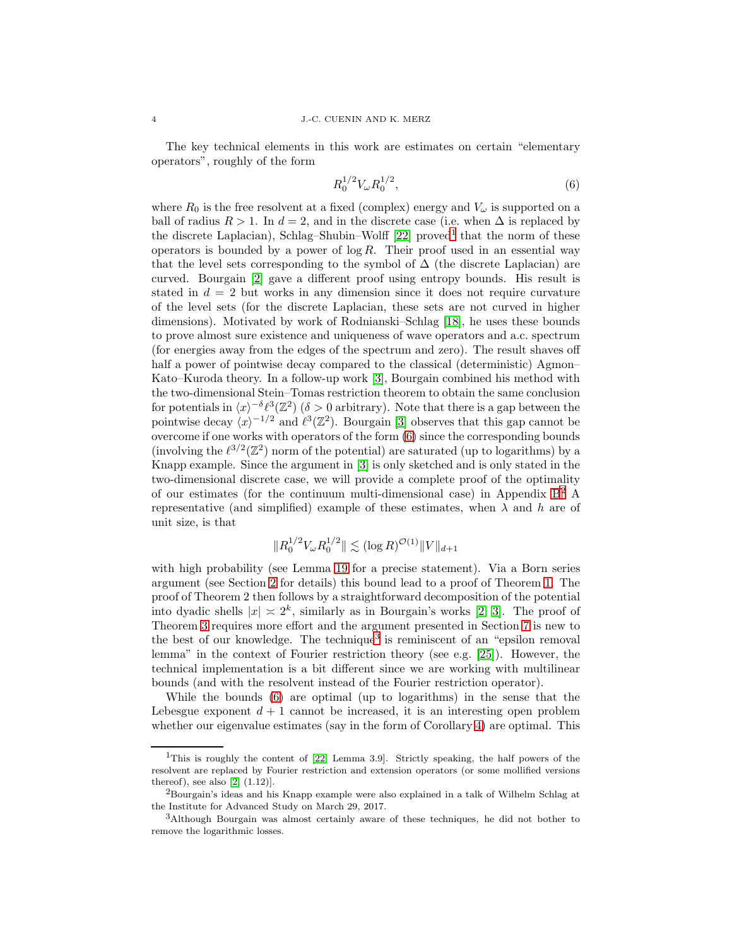The key technical elements in this work are estimates on certain "elementary operators", roughly of the form

<span id="page-3-1"></span>
$$
R_0^{1/2} V_\omega R_0^{1/2},\tag{6}
$$

where  $R_0$  is the free resolvent at a fixed (complex) energy and  $V_\omega$  is supported on a ball of radius  $R > 1$ . In  $d = 2$ , and in the discrete case (i.e. when  $\Delta$  is replaced by the discrete Laplacian), Schlag-Shubin–Wolff  $[22]$  proved<sup>[1](#page-3-0)</sup> that the norm of these operators is bounded by a power of  $\log R$ . Their proof used in an essential way that the level sets corresponding to the symbol of  $\Delta$  (the discrete Laplacian) are curved. Bourgain [\[2\]](#page-24-6) gave a different proof using entropy bounds. His result is stated in  $d = 2$  but works in any dimension since it does not require curvature of the level sets (for the discrete Laplacian, these sets are not curved in higher dimensions). Motivated by work of Rodnianski–Schlag [\[18\]](#page-25-4), he uses these bounds to prove almost sure existence and uniqueness of wave operators and a.c. spectrum (for energies away from the edges of the spectrum and zero). The result shaves off half a power of pointwise decay compared to the classical (deterministic) Agmon– Kato–Kuroda theory. In a follow-up work [\[3\]](#page-24-7), Bourgain combined his method with the two-dimensional Stein–Tomas restriction theorem to obtain the same conclusion for potentials in  $\langle x \rangle^{-\delta} \ell^3(\mathbb{Z}^2)$  ( $\delta > 0$  arbitrary). Note that there is a gap between the pointwise decay  $\langle x \rangle^{-1/2}$  and  $\ell^3(\mathbb{Z}^2)$ . Bourgain [\[3\]](#page-24-7) observes that this gap cannot be overcome if one works with operators of the form [\(6\)](#page-3-1) since the corresponding bounds (involving the  $\ell^{3/2}(\mathbb{Z}^2)$  norm of the potential) are saturated (up to logarithms) by a Knapp example. Since the argument in [\[3\]](#page-24-7) is only sketched and is only stated in the two-dimensional discrete case, we will provide a complete proof of the optimality of our estimates (for the continuum multi-dimensional case) in Appendix  $B^2$  $B^2$  A representative (and simplified) example of these estimates, when  $\lambda$  and h are of unit size, is that

$$
||R_0^{1/2}V_{\omega}R_0^{1/2}|| \lesssim (\log R)^{\mathcal{O}(1)}||V||_{d+1}
$$

with high probability (see Lemma [19](#page-16-0) for a precise statement). Via a Born series argument (see Section [2](#page-4-0) for details) this bound lead to a proof of Theorem [1.](#page-1-2) The proof of Theorem 2 then follows by a straightforward decomposition of the potential into dyadic shells  $|x| \approx 2^k$ , similarly as in Bourgain's works [\[2,](#page-24-6) [3\]](#page-24-7). The proof of Theorem [3](#page-2-0) requires more effort and the argument presented in Section [7](#page-16-1) is new to the best of our knowledge. The technique<sup>[3](#page-3-3)</sup> is reminiscent of an "epsilon removal lemma" in the context of Fourier restriction theory (see e.g. [\[25\]](#page-25-5)). However, the technical implementation is a bit different since we are working with multilinear bounds (and with the resolvent instead of the Fourier restriction operator).

While the bounds [\(6\)](#page-3-1) are optimal (up to logarithms) in the sense that the Lebesgue exponent  $d + 1$  cannot be increased, it is an interesting open problem whether our eigenvalue estimates (say in the form of Corollary [4\)](#page-2-1) are optimal. This

<span id="page-3-0"></span><sup>&</sup>lt;sup>1</sup>This is roughly the content of  $[22, \text{ Lemma } 3.9]$ . Strictly speaking, the half powers of the resolvent are replaced by Fourier restriction and extension operators (or some mollified versions thereof), see also  $[2, (1.12)].$ 

<span id="page-3-2"></span><sup>2</sup>Bourgain's ideas and his Knapp example were also explained in a talk of Wilhelm Schlag at the Institute for Advanced Study on March 29, 2017.

<span id="page-3-3"></span><sup>3</sup>Although Bourgain was almost certainly aware of these techniques, he did not bother to remove the logarithmic losses.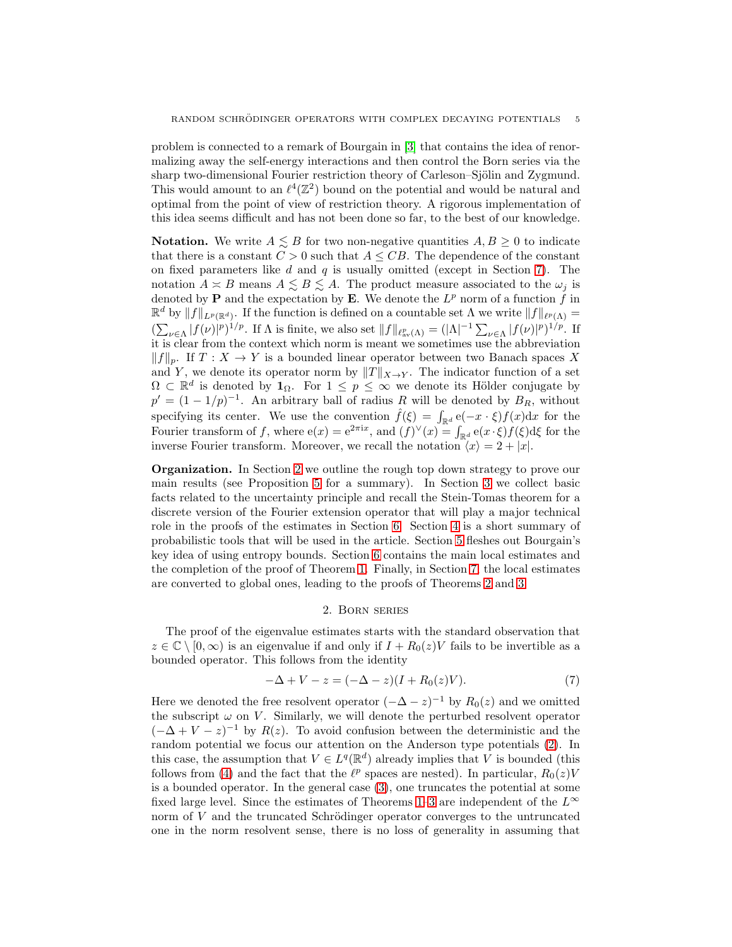problem is connected to a remark of Bourgain in [\[3\]](#page-24-7) that contains the idea of renormalizing away the self-energy interactions and then control the Born series via the sharp two-dimensional Fourier restriction theory of Carleson–Sjölin and Zygmund. This would amount to an  $\ell^4(\mathbb{Z}^2)$  bound on the potential and would be natural and optimal from the point of view of restriction theory. A rigorous implementation of this idea seems difficult and has not been done so far, to the best of our knowledge.

**Notation.** We write  $A \leq B$  for two non-negative quantities  $A, B \geq 0$  to indicate that there is a constant  $C > 0$  such that  $A \leq CB$ . The dependence of the constant on fixed parameters like  $d$  and  $q$  is usually omitted (except in Section [7\)](#page-16-1). The notation  $A \simeq B$  means  $A \lesssim B \lesssim A$ . The product measure associated to the  $\omega_j$  is denoted by **P** and the expectation by **E**. We denote the  $L^p$  norm of a function f in  $\mathbb{R}^d$  by  $||f||_{L^p(\mathbb{R}^d)}$ . If the function is defined on a countable set  $\Lambda$  we write  $||f||_{\ell^p(\Lambda)} =$  $(\sum_{\nu \in \Lambda} |f(\nu)|^p)^{1/p}$ . If  $\Lambda$  is finite, we also set  $||f||_{\ell^p_{\text{av}}(\Lambda)} = (|\Lambda|^{-1} \sum_{\nu \in \Lambda} |f(\nu)|^p)^{1/p}$ . If it is clear from the context which norm is meant we sometimes use the abbreviation  $||f||_p$ . If  $T : X \to Y$  is a bounded linear operator between two Banach spaces X and Y, we denote its operator norm by  $||T||_{X\to Y}$ . The indicator function of a set  $\Omega \subset \mathbb{R}^d$  is denoted by  $\mathbf{1}_{\Omega}$ . For  $1 \leq p \leq \infty$  we denote its Hölder conjugate by  $p' = (1 - 1/p)^{-1}$ . An arbitrary ball of radius R will be denoted by  $B_R$ , without specifying its center. We use the convention  $\hat{f}(\xi) = \int_{\mathbb{R}^d} e(-x \cdot \xi) f(x) dx$  for the Fourier transform of f, where  $e(x) = e^{2\pi ix}$ , and  $(f)^{\vee}(x) = \int_{\mathbb{R}^d} e(x \cdot \xi) f(\xi) d\xi$  for the inverse Fourier transform. Moreover, we recall the notation  $\langle x \rangle = 2 + |x|$ .

Organization. In Section [2](#page-4-0) we outline the rough top down strategy to prove our main results (see Proposition [5](#page-5-0) for a summary). In Section [3](#page-6-0) we collect basic facts related to the uncertainty principle and recall the Stein-Tomas theorem for a discrete version of the Fourier extension operator that will play a major technical role in the proofs of the estimates in Section [6.](#page-10-0) Section [4](#page-8-0) is a short summary of probabilistic tools that will be used in the article. Section [5](#page-9-0) fleshes out Bourgain's key idea of using entropy bounds. Section [6](#page-10-0) contains the main local estimates and the completion of the proof of Theorem [1.](#page-1-2) Finally, in Section [7,](#page-16-1) the local estimates are converted to global ones, leading to the proofs of Theorems [2](#page-2-2) and [3.](#page-2-0)

# <span id="page-4-1"></span>2. Born series

<span id="page-4-0"></span>The proof of the eigenvalue estimates starts with the standard observation that  $z \in \mathbb{C} \setminus [0,\infty)$  is an eigenvalue if and only if  $I + R_0(z)V$  fails to be invertible as a bounded operator. This follows from the identity

$$
-\Delta + V - z = (-\Delta - z)(I + R_0(z)V). \tag{7}
$$

Here we denoted the free resolvent operator  $(-\Delta - z)^{-1}$  by  $R_0(z)$  and we omitted the subscript  $\omega$  on V. Similarly, we will denote the perturbed resolvent operator  $(-\Delta + V - z)^{-1}$  by  $R(z)$ . To avoid confusion between the deterministic and the random potential we focus our attention on the Anderson type potentials [\(2\)](#page-0-1). In this case, the assumption that  $V \in L^{q}(\mathbb{R}^{d})$  already implies that V is bounded (this follows from [\(4\)](#page-0-3) and the fact that the  $\ell^p$  spaces are nested). In particular,  $R_0(z)V$ is a bounded operator. In the general case [\(3\)](#page-0-2), one truncates the potential at some fixed large level. Since the estimates of Theorems [1–](#page-1-2)[3](#page-2-0) are independent of the  $L^{\infty}$ norm of  $V$  and the truncated Schrödinger operator converges to the untruncated one in the norm resolvent sense, there is no loss of generality in assuming that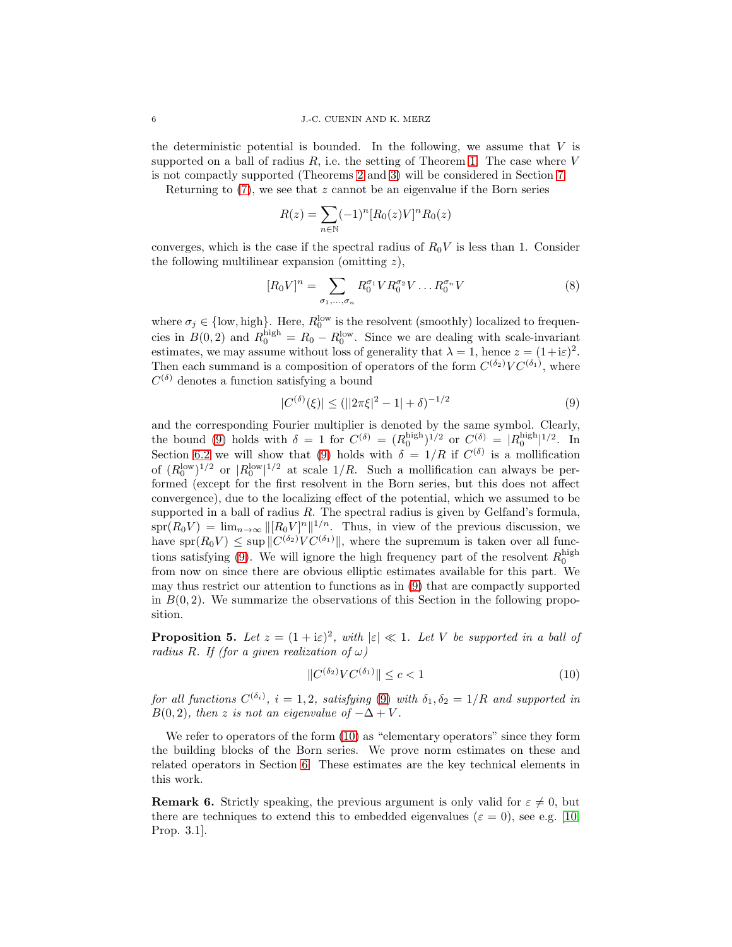the deterministic potential is bounded. In the following, we assume that  $V$  is supported on a ball of radius  $R$ , i.e. the setting of Theorem [1.](#page-1-2) The case where V is not compactly supported (Theorems [2](#page-2-2) and [3\)](#page-2-0) will be considered in Section [7.](#page-16-1)

Returning to  $(7)$ , we see that z cannot be an eigenvalue if the Born series

<span id="page-5-3"></span>
$$
R(z) = \sum_{n \in \mathbb{N}} (-1)^n [R_0(z)V]^n R_0(z)
$$

converges, which is the case if the spectral radius of  $R_0V$  is less than 1. Consider the following multilinear expansion (omitting  $z$ ),

$$
[R_0 V]^n = \sum_{\sigma_1, \dots, \sigma_n} R_0^{\sigma_1} V R_0^{\sigma_2} V \dots R_0^{\sigma_n} V \tag{8}
$$

where  $\sigma_j \in \{\text{low, high}\}\.$  Here,  $R_0^{\text{low}}$  is the resolvent (smoothly) localized to frequencies in  $B(0, 2)$  and  $R_0^{\text{high}} = R_0 - R_0^{\text{low}}$ . Since we are dealing with scale-invariant estimates, we may assume without loss of generality that  $\lambda = 1$ , hence  $z = (1 + i\varepsilon)^2$ . Then each summand is a composition of operators of the form  $C^{(\delta_2)}VC^{(\delta_1)}$ , where  $C^{(\delta)}$  denotes a function satisfying a bound

<span id="page-5-1"></span>
$$
|C^{(\delta)}(\xi)| \le (||2\pi\xi|^2 - 1| + \delta)^{-1/2}
$$
\n(9)

and the corresponding Fourier multiplier is denoted by the same symbol. Clearly, the bound [\(9\)](#page-5-1) holds with  $\delta = 1$  for  $C^{(\delta)} = (R_0^{\text{high}})^{1/2}$  or  $C_{\text{max}}^{(\delta)} = |R_0^{\text{high}}|^{1/2}$ . In Section [6.2](#page-14-0) we will show that [\(9\)](#page-5-1) holds with  $\delta = 1/R$  if  $C^{(\delta)}$  is a mollification of  $(R_0^{\text{low}})^{1/2}$  or  $|R_0^{\text{low}}|^{1/2}$  at scale  $1/R$ . Such a mollification can always be performed (except for the first resolvent in the Born series, but this does not affect convergence), due to the localizing effect of the potential, which we assumed to be supported in a ball of radius  $R$ . The spectral radius is given by Gelfand's formula,  $spr(R_0V) = \lim_{n\to\infty} ||[R_0V]^n||^{1/n}$ . Thus, in view of the previous discussion, we have spr $(R_0 V) \le \sup \|C^{(\delta_2)} V C^{(\delta_1)}\|$ , where the supremum is taken over all func-tions satisfying [\(9\)](#page-5-1). We will ignore the high frequency part of the resolvent  $R_0^{\text{high}}$ from now on since there are obvious elliptic estimates available for this part. We may thus restrict our attention to functions as in [\(9\)](#page-5-1) that are compactly supported in  $B(0, 2)$ . We summarize the observations of this Section in the following proposition.

<span id="page-5-0"></span>**Proposition 5.** Let  $z = (1 + i\varepsilon)^2$ , with  $|\varepsilon| \ll 1$ . Let V be supported in a ball of radius R. If (for a given realization of  $\omega$ )

<span id="page-5-2"></span>
$$
||C^{(\delta_2)}VC^{(\delta_1)}|| \leq c < 1 \tag{10}
$$

for all functions  $C^{(\delta_i)}$ ,  $i = 1, 2$ , satisfying [\(9\)](#page-5-1) with  $\delta_1, \delta_2 = 1/R$  and supported in  $B(0, 2)$ , then z is not an eigenvalue of  $-\Delta + V$ .

We refer to operators of the form  $(10)$  as "elementary operators" since they form the building blocks of the Born series. We prove norm estimates on these and related operators in Section [6.](#page-10-0) These estimates are the key technical elements in this work.

**Remark 6.** Strictly speaking, the previous argument is only valid for  $\varepsilon \neq 0$ , but there are techniques to extend this to embedded eigenvalues ( $\varepsilon = 0$ ), see e.g. [\[10,](#page-24-1) Prop. 3.1].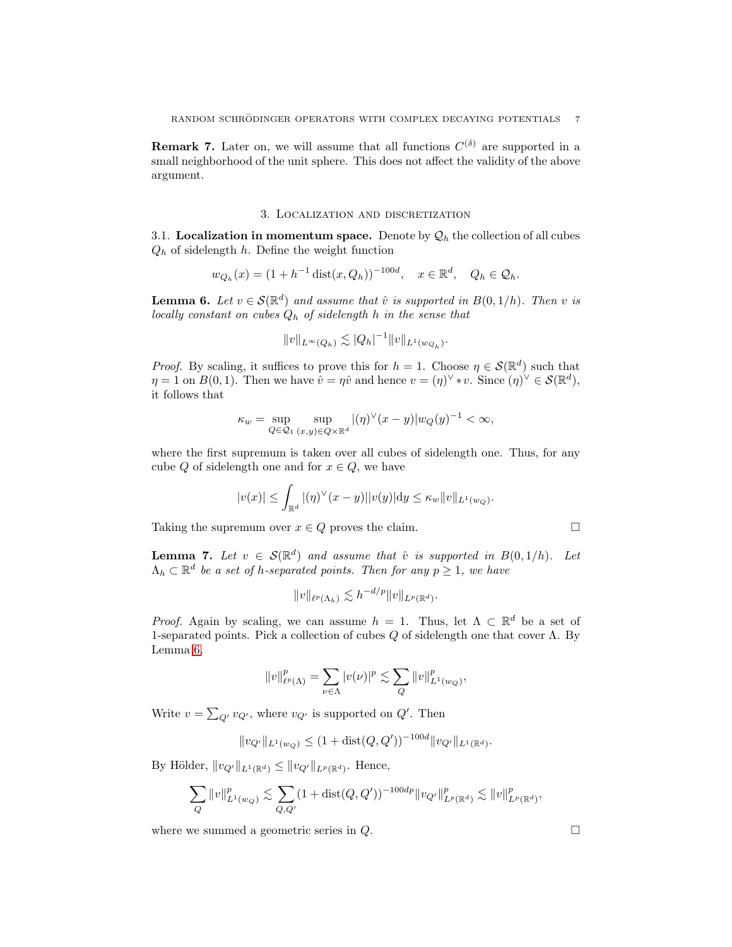**Remark 7.** Later on, we will assume that all functions  $C^{(\delta)}$  are supported in a small neighborhood of the unit sphere. This does not affect the validity of the above argument.

#### 3. Localization and discretization

<span id="page-6-0"></span>3.1. Localization in momentum space. Denote by  $\mathcal{Q}_h$  the collection of all cubes  $Q_h$  of sidelength h. Define the weight function

$$
w_{Q_h}(x) = (1 + h^{-1} dist(x, Q_h))^{-100d}, \quad x \in \mathbb{R}^d, \quad Q_h \in \mathcal{Q}_h.
$$

<span id="page-6-1"></span>**Lemma 6.** Let  $v \in \mathcal{S}(\mathbb{R}^d)$  and assume that  $\hat{v}$  is supported in  $B(0,1/h)$ . Then v is locally constant on cubes  $Q_h$  of sidelength h in the sense that

$$
||v||_{L^{\infty}(Q_h)} \lesssim |Q_h|^{-1} ||v||_{L^1(w_{Q_h})}.
$$

*Proof.* By scaling, it suffices to prove this for  $h = 1$ . Choose  $\eta \in \mathcal{S}(\mathbb{R}^d)$  such that  $\eta = 1$  on  $B(0, 1)$ . Then we have  $\hat{v} = \eta \hat{v}$  and hence  $v = (\eta)^{\vee} * v$ . Since  $(\eta)^{\vee} \in \mathcal{S}(\mathbb{R}^d)$ , it follows that

$$
\kappa_w = \sup_{Q \in \mathcal{Q}_1} \sup_{(x,y) \in Q \times \mathbb{R}^d} |(\eta)^{\vee}(x - y)| w_Q(y)^{-1} < \infty,
$$

where the first supremum is taken over all cubes of sidelength one. Thus, for any cube Q of sidelength one and for  $x \in Q$ , we have

$$
|v(x)| \leq \int_{\mathbb{R}^d} |(\eta)^{\vee}(x-y)||v(y)| \mathrm{d}y \leq \kappa_w ||v||_{L^1(w_Q)}.
$$

Taking the supremum over  $x \in Q$  proves the claim.

<span id="page-6-2"></span>**Lemma 7.** Let  $v \in \mathcal{S}(\mathbb{R}^d)$  and assume that  $\hat{v}$  is supported in  $B(0,1/h)$ . Let  $\Lambda_h \subset \mathbb{R}^d$  be a set of h-separated points. Then for any  $p \geq 1$ , we have

$$
||v||_{\ell^p(\Lambda_h)} \lesssim h^{-d/p} ||v||_{L^p(\mathbb{R}^d)}.
$$

*Proof.* Again by scaling, we can assume  $h = 1$ . Thus, let  $\Lambda \subset \mathbb{R}^d$  be a set of 1-separated points. Pick a collection of cubes  $Q$  of sidelength one that cover  $\Lambda$ . By Lemma [6,](#page-6-1)

$$
||v||^p_{\ell^p(\Lambda)} = \sum_{\nu \in \Lambda} |v(\nu)|^p \lesssim \sum_Q ||v||^p_{L^1(w_Q)},
$$

Write  $v = \sum_{Q'} v_{Q'}$ , where  $v_{Q'}$  is supported on  $Q'$ . Then

$$
||v_{Q'}||_{L^1(w_Q)} \le (1 + \text{dist}(Q, Q'))^{-100d} ||v_{Q'}||_{L^1(\mathbb{R}^d)}.
$$

By Hölder,  $||v_{Q'}||_{L^1(\mathbb{R}^d)} \leq ||v_{Q'}||_{L^p(\mathbb{R}^d)}$ . Hence,

$$
\sum_{Q} \|v\|_{L^1(w_Q)}^p \lesssim \sum_{Q,Q'} (1 + \text{dist}(Q,Q'))^{-100dp} \|v_{Q'}\|_{L^p(\mathbb{R}^d)}^p \lesssim \|v\|_{L^p(\mathbb{R}^d)}^p,
$$

where we summed a geometric series in  $Q$ .

$$
\Box
$$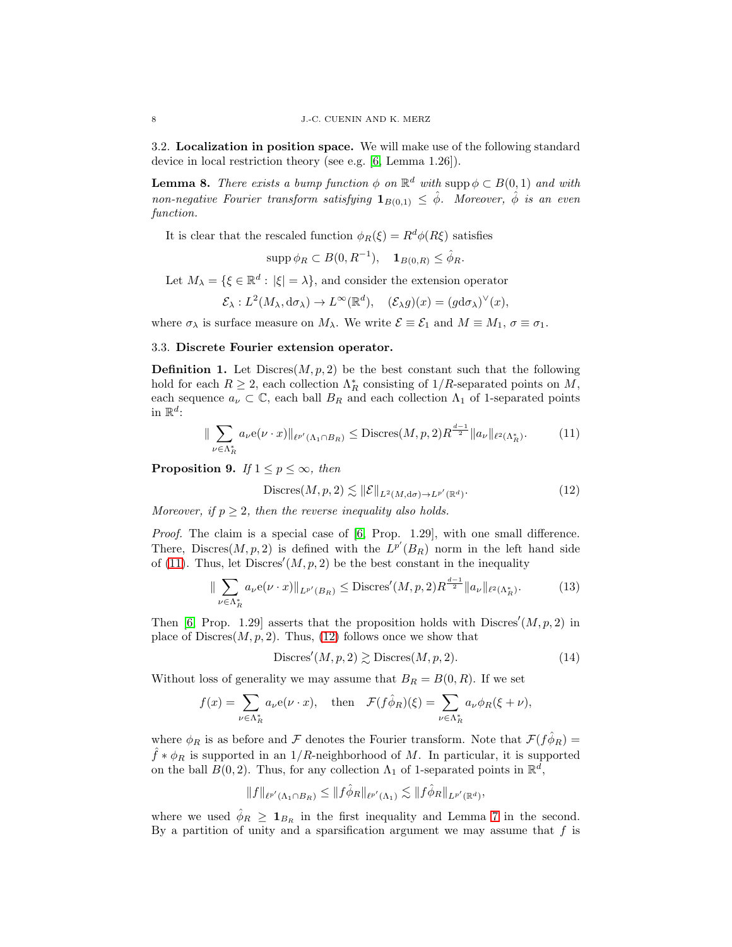3.2. Localization in position space. We will make use of the following standard device in local restriction theory (see e.g. [\[6,](#page-24-8) Lemma 1.26]).

**Lemma 8.** There exists a bump function  $\phi$  on  $\mathbb{R}^d$  with supp  $\phi \subset B(0,1)$  and with non-negative Fourier transform satisfying  $\mathbf{1}_{B(0,1)} \leq \hat{\phi}$ . Moreover,  $\hat{\phi}$  is an even function.

It is clear that the rescaled function  $\phi_R(\xi) = R^d \phi(R\xi)$  satisfies

$$
\operatorname{supp} \phi_R \subset B(0,R^{-1}), \quad \mathbf{1}_{B(0,R)} \le \hat{\phi}_R.
$$

Let  $M_{\lambda} = \{ \xi \in \mathbb{R}^d : |\xi| = \lambda \},\$ and consider the extension operator

$$
\mathcal{E}_{\lambda}: L^2(M_{\lambda}, d\sigma_{\lambda}) \to L^{\infty}(\mathbb{R}^d), \quad (\mathcal{E}_{\lambda}g)(x) = (g d\sigma_{\lambda})^{\vee}(x),
$$

where  $\sigma_{\lambda}$  is surface measure on  $M_{\lambda}$ . We write  $\mathcal{E} \equiv \mathcal{E}_1$  and  $M \equiv M_1$ ,  $\sigma \equiv \sigma_1$ .

## 3.3. Discrete Fourier extension operator.

**Definition 1.** Let Discres $(M, p, 2)$  be the best constant such that the following hold for each  $R \geq 2$ , each collection  $\Lambda_R^*$  consisting of  $1/R$ -separated points on  $M$ , each sequence  $a_{\nu} \subset \mathbb{C}$ , each ball  $B_R$  and each collection  $\Lambda_1$  of 1-separated points in  $\mathbb{R}^d$ :

$$
\|\sum_{\nu \in \Lambda_R^*} a_{\nu} e(\nu \cdot x)\|_{\ell^{p'}(\Lambda_1 \cap B_R)} \leq \text{Discres}(M, p, 2) R^{\frac{d-1}{2}} \|a_{\nu}\|_{\ell^2(\Lambda_R^*)}. \tag{11}
$$

<span id="page-7-4"></span>**Proposition 9.** If  $1 \leq p \leq \infty$ , then

<span id="page-7-1"></span><span id="page-7-0"></span>
$$
\text{Discres}(M, p, 2) \lesssim \|\mathcal{E}\|_{L^2(M, d\sigma) \to L^{p'}(\mathbb{R}^d)}.\tag{12}
$$

Moreover, if  $p \geq 2$ , then the reverse inequality also holds.

Proof. The claim is a special case of [\[6,](#page-24-8) Prop. 1.29], with one small difference. There, Discres $(M, p, 2)$  is defined with the  $L^{p'}(B_R)$  norm in the left hand side of [\(11\)](#page-7-0). Thus, let  $Discres'(M, p, 2)$  be the best constant in the inequality

$$
\|\sum_{\nu \in \Lambda_R^*} a_{\nu} e(\nu \cdot x)\|_{L^{p'}(B_R)} \leq \text{Discres}'(M, p, 2) R^{\frac{d-1}{2}} \|a_{\nu}\|_{\ell^2(\Lambda_R^*)}. \tag{13}
$$

Then [\[6,](#page-24-8) Prop. 1.29] asserts that the proposition holds with  $Discres'(M, p, 2)$  in place of  $Discres(M, p, 2)$ . Thus, [\(12\)](#page-7-1) follows once we show that

<span id="page-7-3"></span><span id="page-7-2"></span>
$$
\text{Discres}'(M, p, 2) \gtrsim \text{Discres}(M, p, 2). \tag{14}
$$

Without loss of generality we may assume that  $B_R = B(0, R)$ . If we set

$$
f(x) = \sum_{\nu \in \Lambda_R^*} a_{\nu} e(\nu \cdot x), \quad \text{then} \quad \mathcal{F}(f \hat{\phi}_R)(\xi) = \sum_{\nu \in \Lambda_R^*} a_{\nu} \phi_R(\xi + \nu),
$$

where  $\phi_R$  is as before and F denotes the Fourier transform. Note that  $\mathcal{F}(f\hat{\phi}_R)$  =  $\hat{f} * \phi_R$  is supported in an 1/R-neighborhood of M. In particular, it is supported on the ball  $B(0, 2)$ . Thus, for any collection  $\Lambda_1$  of 1-separated points in  $\mathbb{R}^d$ ,

$$
||f||_{\ell^{p'}(\Lambda_1 \cap B_R)} \leq ||f \hat{\phi}_R||_{\ell^{p'}(\Lambda_1)} \lesssim ||f \hat{\phi}_R||_{L^{p'}(\mathbb{R}^d)},
$$

where we used  $\hat{\phi}_R \geq \mathbf{1}_{B_R}$  in the first inequality and Lemma [7](#page-6-2) in the second. By a partition of unity and a sparsification argument we may assume that  $f$  is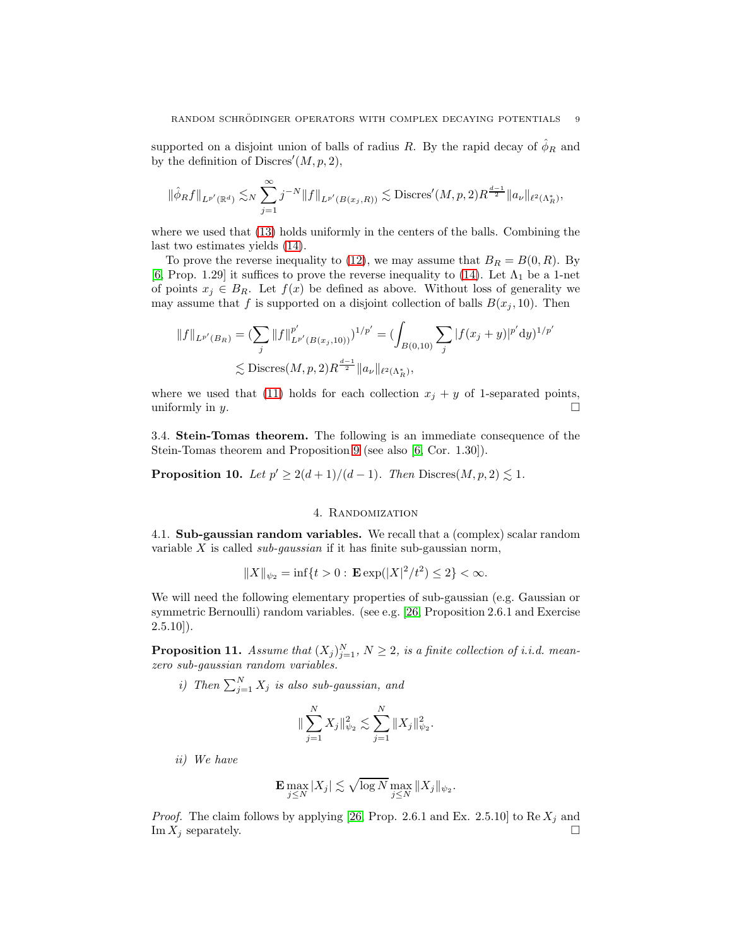supported on a disjoint union of balls of radius R. By the rapid decay of  $\hat{\phi}_R$  and by the definition of Discres' $(M, p, 2)$ ,

$$
\|\hat{\phi}_R f\|_{L^{p'}(\mathbb{R}^d)} \lesssim_N \sum_{j=1}^{\infty} j^{-N} \|f\|_{L^{p'}(B(x_j,R))} \lesssim \text{Discres}'(M,p,2) R^{\frac{d-1}{2}} \|a_{\nu}\|_{\ell^2(\Lambda_R^*)},
$$

where we used that [\(13\)](#page-7-2) holds uniformly in the centers of the balls. Combining the last two estimates yields [\(14\)](#page-7-3).

To prove the reverse inequality to [\(12\)](#page-7-1), we may assume that  $B_R = B(0, R)$ . By [\[6,](#page-24-8) Prop. 1.29] it suffices to prove the reverse inequality to [\(14\)](#page-7-3). Let  $\Lambda_1$  be a 1-net of points  $x_j \in B_R$ . Let  $f(x)$  be defined as above. Without loss of generality we may assume that f is supported on a disjoint collection of balls  $B(x_i, 10)$ . Then

$$
||f||_{L^{p'}(B_R)} = \left(\sum_j ||f||_{L^{p'}(B(x_j, 10))}^{p'}\right)^{1/p'} = \left(\int_{B(0, 10)} \sum_j |f(x_j + y)|^{p'} dy\right)^{1/p'}
$$
  

$$
\lesssim \text{Discres}(M, p, 2) R^{\frac{d-1}{2}} ||a_{\nu}||_{\ell^2(\Lambda_R^*)},
$$

where we used that [\(11\)](#page-7-0) holds for each collection  $x_j + y$  of 1-separated points, uniformly in y.  $\square$ 

3.4. Stein-Tomas theorem. The following is an immediate consequence of the Stein-Tomas theorem and Proposition [9](#page-7-4) (see also [\[6,](#page-24-8) Cor. 1.30]).

<span id="page-8-1"></span><span id="page-8-0"></span>**Proposition 10.** Let  $p' \geq 2(d+1)/(d-1)$ . Then Discres $(M, p, 2) \leq 1$ .

# 4. Randomization

4.1. Sub-gaussian random variables. We recall that a (complex) scalar random variable X is called *sub-qaussian* if it has finite sub-gaussian norm,

$$
||X||_{\psi_2} = \inf\{t > 0 : \mathbf{E} \exp(|X|^2/t^2) \le 2\} < \infty.
$$

We will need the following elementary properties of sub-gaussian (e.g. Gaussian or symmetric Bernoulli) random variables. (see e.g. [\[26,](#page-25-6) Proposition 2.6.1 and Exercise  $(2.5.10)$ .

<span id="page-8-2"></span>**Proposition 11.** Assume that  $(X_j)_{j=1}^N$ ,  $N \geq 2$ , is a finite collection of i.i.d. meanzero sub-gaussian random variables.

i) Then  $\sum_{j=1}^{N} X_j$  is also sub-gaussian, and

$$
\|\sum_{j=1}^N X_j\|_{\psi_2}^2 \lesssim \sum_{j=1}^N \|X_j\|_{\psi_2}^2.
$$

ii) We have

$$
\mathbf{E} \max_{j \leq N} |X_j| \lesssim \sqrt{\log N} \max_{j \leq N} \|X_j\|_{\psi_2}.
$$

*Proof.* The claim follows by applying [\[26,](#page-25-6) Prop. 2.6.1 and Ex. 2.5.10] to Re  $X_j$  and Im  $X_j$  separately.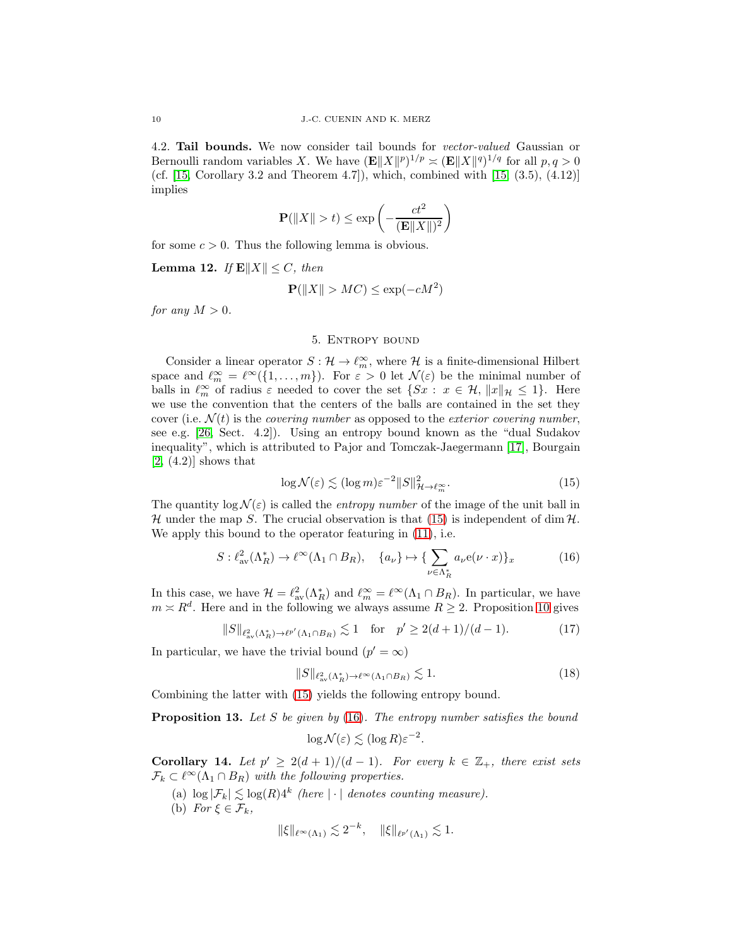4.2. Tail bounds. We now consider tail bounds for vector-valued Gaussian or Bernoulli random variables X. We have  $(\mathbf{E} ||X||^p)^{1/p} \asymp (\mathbf{E} ||X||^q)^{1/q}$  for all  $p, q > 0$ (cf. [\[15,](#page-25-7) Corollary 3.2 and Theorem 4.7]), which, combined with [\[15,](#page-25-7) (3.5), (4.12)] implies

$$
\mathbf{P}(\|X\| > t) \le \exp\left(-\frac{ct^2}{(\mathbf{E}\|X\|)^2}\right)
$$

for some  $c > 0$ . Thus the following lemma is obvious.

<span id="page-9-7"></span>Lemma 12. If  $\mathbb{E}\|X\| \leq C$ , then

$$
\mathbf{P}(\|X\| > MC) \le \exp(-cM^2)
$$

<span id="page-9-0"></span>for any  $M > 0$ .

#### 5. Entropy bound

Consider a linear operator  $S: \mathcal{H} \to \ell_m^{\infty}$ , where  $\mathcal{H}$  is a finite-dimensional Hilbert space and  $\ell_m^{\infty} = \ell^{\infty}(\{1,\ldots,m\})$ . For  $\varepsilon > 0$  let  $\mathcal{N}(\varepsilon)$  be the minimal number of balls in  $\ell_m^{\infty}$  of radius  $\varepsilon$  needed to cover the set  $\{S_x : x \in \mathcal{H}, ||x||_{\mathcal{H}} \leq 1\}$ . Here we use the convention that the centers of the balls are contained in the set they cover (i.e.  $\mathcal{N}(t)$  is the *covering number* as opposed to the *exterior covering number*, see e.g. [\[26,](#page-25-6) Sect. 4.2]). Using an entropy bound known as the "dual Sudakov inequality", which is attributed to Pajor and Tomczak-Jaegermann [\[17\]](#page-25-8), Bourgain  $[2, (4.2)]$  $[2, (4.2)]$  shows that

<span id="page-9-2"></span><span id="page-9-1"></span>
$$
\log \mathcal{N}(\varepsilon) \lesssim (\log m) \varepsilon^{-2} \|S\|_{\mathcal{H} \to \ell_m^{\infty}}^2. \tag{15}
$$

The quantity  $\log N(\varepsilon)$  is called the *entropy number* of the image of the unit ball in H under the map S. The crucial observation is that [\(15\)](#page-9-1) is independent of dim  $H$ . We apply this bound to the operator featuring in [\(11\)](#page-7-0), i.e.

$$
S: \ell^2_{\text{av}}(\Lambda_R^*) \to \ell^\infty(\Lambda_1 \cap B_R), \quad \{a_\nu\} \mapsto \{\sum_{\nu \in \Lambda_R^*} a_\nu e(\nu \cdot x)\}_x \tag{16}
$$

In this case, we have  $\mathcal{H} = \ell_{av}^2(\Lambda_R^*)$  and  $\ell_m^{\infty} = \ell^{\infty}(\Lambda_1 \cap B_R)$ . In particular, we have  $m \approx R^d$ . Here and in the following we always assume  $R \geq 2$ . Proposition [10](#page-8-1) gives

$$
||S||_{\ell^2_{\text{av}}(\Lambda_R^*) \to \ell^{p'}(\Lambda_1 \cap B_R)} \lesssim 1 \quad \text{for} \quad p' \ge 2(d+1)/(d-1). \tag{17}
$$

In particular, we have the trivial bound  $(p' = \infty)$ 

<span id="page-9-5"></span>
$$
||S||_{\ell^2_{\text{av}}(\Lambda_R^*) \to \ell^\infty(\Lambda_1 \cap B_R)} \lesssim 1. \tag{18}
$$

Combining the latter with [\(15\)](#page-9-1) yields the following entropy bound.

<span id="page-9-4"></span>**Proposition 13.** Let S be given by  $(16)$ . The entropy number satisfies the bound

<span id="page-9-3"></span>
$$
\log \mathcal{N}(\varepsilon) \lesssim (\log R) \varepsilon^{-2}.
$$

<span id="page-9-6"></span>Corollary 14. Let  $p' \geq 2(d+1)/(d-1)$ . For every  $k \in \mathbb{Z}_+$ , there exist sets  $\mathcal{F}_k \subset \ell^{\infty}(\Lambda_1 \cap B_R)$  with the following properties.

- (a)  $\log |\mathcal{F}_k| \lesssim \log(R) 4^k$  (here  $|\cdot|$  denotes counting measure).
- (b) For  $\xi \in \mathcal{F}_k$ ,

$$
\|\xi\|_{\ell^{\infty}(\Lambda_1)} \lesssim 2^{-k}, \quad \|\xi\|_{\ell^{p'}(\Lambda_1)} \lesssim 1.
$$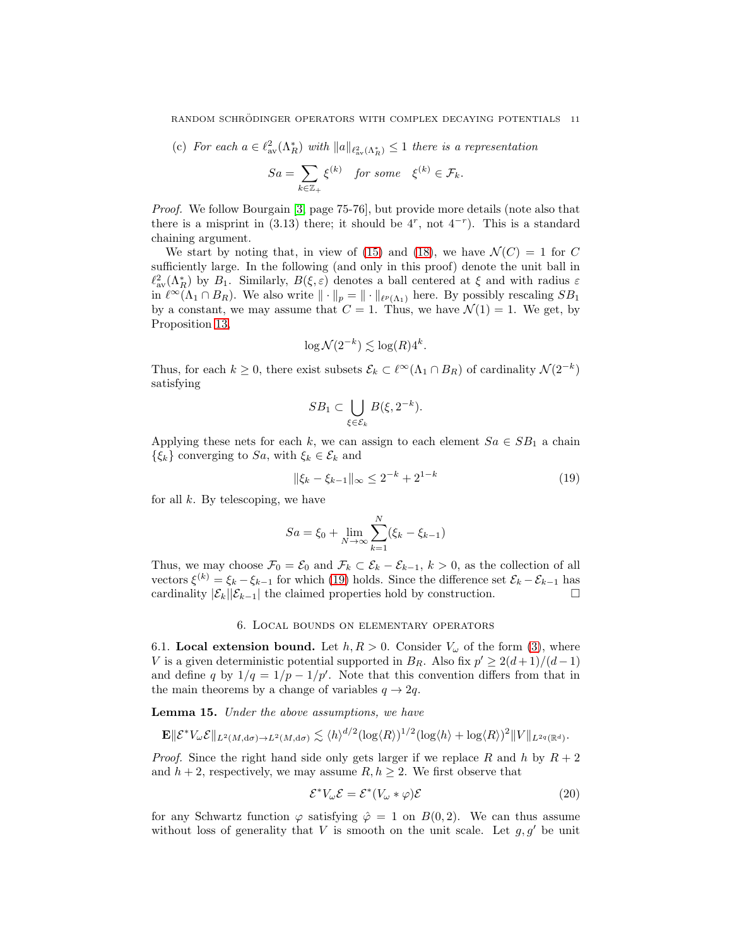(c) For each  $a \in \ell^2_{av}(\Lambda_R^*)$  with  $||a||_{\ell^2_{av}(\Lambda_R^*)} \leq 1$  there is a representation

$$
Sa = \sum_{k \in \mathbb{Z}_+} \xi^{(k)} \quad \text{for some} \quad \xi^{(k)} \in \mathcal{F}_k.
$$

Proof. We follow Bourgain [\[3,](#page-24-7) page 75-76], but provide more details (note also that there is a misprint in  $(3.13)$  there; it should be  $4^r$ , not  $4^{-r}$ ). This is a standard chaining argument.

We start by noting that, in view of [\(15\)](#page-9-1) and [\(18\)](#page-9-3), we have  $\mathcal{N}(C) = 1$  for C sufficiently large. In the following (and only in this proof) denote the unit ball in  $\ell_{av}^2(\Lambda_R^*)$  by  $B_1$ . Similarly,  $B(\xi, \varepsilon)$  denotes a ball centered at  $\xi$  and with radius  $\varepsilon$ in  $\ell^{\infty}(\Lambda_1 \cap B_R)$ . We also write  $\|\cdot\|_p = \|\cdot\|_{\ell^p(\Lambda_1)}$  here. By possibly rescaling  $SB_1$ by a constant, we may assume that  $C = 1$ . Thus, we have  $\mathcal{N}(1) = 1$ . We get, by Proposition [13,](#page-9-4)

$$
\log \mathcal{N}(2^{-k}) \lesssim \log(R)4^k.
$$

Thus, for each  $k \geq 0$ , there exist subsets  $\mathcal{E}_k \subset \ell^{\infty}(\Lambda_1 \cap B_R)$  of cardinality  $\mathcal{N}(2^{-k})$ satisfying

<span id="page-10-1"></span>
$$
SB_1 \subset \bigcup_{\xi \in \mathcal{E}_k} B(\xi, 2^{-k}).
$$

Applying these nets for each k, we can assign to each element  $Sa \in SB_1$  a chain  $\{\xi_k\}$  converging to  $Sa$ , with  $\xi_k \in \mathcal{E}_k$  and

$$
\|\xi_k - \xi_{k-1}\|_{\infty} \le 2^{-k} + 2^{1-k} \tag{19}
$$

for all  $k$ . By telescoping, we have

$$
Sa = \xi_0 + \lim_{N \to \infty} \sum_{k=1}^{N} (\xi_k - \xi_{k-1})
$$

Thus, we may choose  $\mathcal{F}_0 = \mathcal{E}_0$  and  $\mathcal{F}_k \subset \mathcal{E}_k - \mathcal{E}_{k-1}$ ,  $k > 0$ , as the collection of all vectors  $\xi^{(k)} = \xi_k - \xi_{k-1}$  for which [\(19\)](#page-10-1) holds. Since the difference set  $\mathcal{E}_k - \mathcal{E}_{k-1}$  has cardinality  $|\mathcal{E}_k||\mathcal{E}_{k-1}|$  the claimed properties hold by construction.  $\square$ 

### 6. Local bounds on elementary operators

<span id="page-10-0"></span>6.1. Local extension bound. Let  $h, R > 0$ . Consider  $V_{\omega}$  of the form [\(3\)](#page-0-2), where V is a given deterministic potential supported in  $B_R$ . Also fix  $p' \geq 2(d+1)/(d-1)$ and define q by  $1/q = 1/p - 1/p'$ . Note that this convention differs from that in the main theorems by a change of variables  $q \to 2q$ .

<span id="page-10-2"></span>Lemma 15. Under the above assumptions, we have

$$
\mathbf{E} \|\mathcal{E}^* V_{\omega} \mathcal{E}\|_{L^2(M, d\sigma) \to L^2(M, d\sigma)} \lesssim \langle h \rangle^{d/2} (\log \langle R \rangle)^{1/2} (\log \langle h \rangle + \log \langle R \rangle)^2 \|V\|_{L^{2q}(\mathbb{R}^d)}.
$$

*Proof.* Since the right hand side only gets larger if we replace R and h by  $R + 2$ and  $h + 2$ , respectively, we may assume  $R, h \geq 2$ . We first observe that

<span id="page-10-3"></span>
$$
\mathcal{E}^* V_\omega \mathcal{E} = \mathcal{E}^* (V_\omega * \varphi) \mathcal{E}
$$
\n(20)

for any Schwartz function  $\varphi$  satisfying  $\hat{\varphi} = 1$  on  $B(0, 2)$ . We can thus assume without loss of generality that V is smooth on the unit scale. Let  $g, g'$  be unit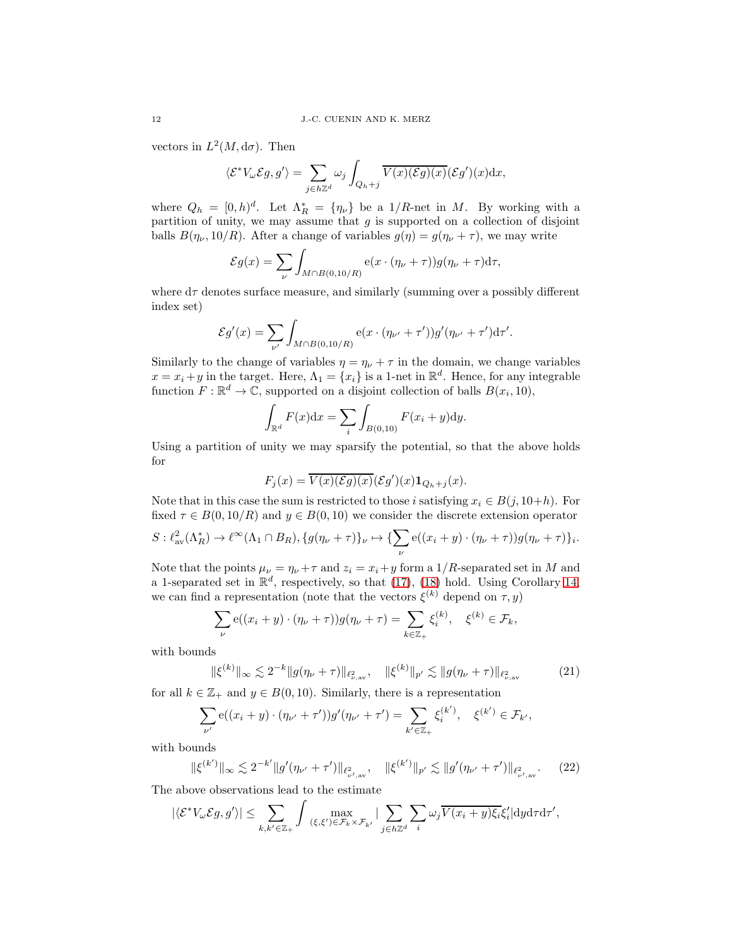vectors in  $L^2(M, d\sigma)$ . Then

$$
\langle \mathcal{E}^* V_{\omega} \mathcal{E} g, g' \rangle = \sum_{j \in h \mathbb{Z}^d} \omega_j \int_{Q_h + j} \overline{V(x) (\mathcal{E} g)(x)} (\mathcal{E} g')(x) dx,
$$

where  $Q_h = [0, h)^d$ . Let  $\Lambda_R^* = {\eta_{\nu}}$  be a 1/R-net in M. By working with a partition of unity, we may assume that  $g$  is supported on a collection of disjoint balls  $B(\eta_{\nu}, 10/R)$ . After a change of variables  $g(\eta) = g(\eta_{\nu} + \tau)$ , we may write

$$
\mathcal{E}g(x) = \sum_{\nu} \int_{M \cap B(0,10/R)} e(x \cdot (\eta_{\nu} + \tau)) g(\eta_{\nu} + \tau) d\tau,
$$

where  $d\tau$  denotes surface measure, and similarly (summing over a possibly different index set)

$$
\mathcal{E}g'(x) = \sum_{\nu'} \int_{M \cap B(0,10/R)} e(x \cdot (\eta_{\nu'} + \tau')) g'(\eta_{\nu'} + \tau') d\tau'.
$$

Similarly to the change of variables  $\eta = \eta_{\nu} + \tau$  in the domain, we change variables  $x = x_i + y$  in the target. Here,  $\Lambda_1 = \{x_i\}$  is a 1-net in  $\mathbb{R}^d$ . Hence, for any integrable function  $F: \mathbb{R}^d \to \mathbb{C}$ , supported on a disjoint collection of balls  $B(x_i, 10)$ ,

$$
\int_{\mathbb{R}^d} F(x) dx = \sum_i \int_{B(0,10)} F(x_i + y) dy.
$$

Using a partition of unity we may sparsify the potential, so that the above holds for

$$
F_j(x) = \overline{V(x)(\mathcal{E}g)(x)}(\mathcal{E}g')(x)\mathbf{1}_{Q_h+j}(x).
$$

Note that in this case the sum is restricted to those i satisfying  $x_i \in B(j, 10+h)$ . For fixed  $\tau \in B(0, 10/R)$  and  $y \in B(0, 10)$  we consider the discrete extension operator

$$
S: \ell^2_{\text{av}}(\Lambda_R^*) \to \ell^\infty(\Lambda_1 \cap B_R), \{g(\eta_\nu + \tau)\}_\nu \mapsto \{\sum_\nu e((x_i + y) \cdot (\eta_\nu + \tau))g(\eta_\nu + \tau)\}_i.
$$

Note that the points  $\mu_{\nu} = \eta_{\nu} + \tau$  and  $z_i = x_i + y$  form a 1/R-separated set in M and a 1-separated set in  $\mathbb{R}^d$ , respectively, so that [\(17\)](#page-9-5), [\(18\)](#page-9-3) hold. Using Corollary [14,](#page-9-6) we can find a representation (note that the vectors  $\xi^{(k)}$  depend on  $\tau, y$ )

$$
\sum_{\nu} e((x_i + y) \cdot (\eta_{\nu} + \tau)) g(\eta_{\nu} + \tau) = \sum_{k \in \mathbb{Z}_+} \xi_i^{(k)}, \quad \xi^{(k)} \in \mathcal{F}_k,
$$

with bounds

<span id="page-11-1"></span><span id="page-11-0"></span>
$$
\|\xi^{(k)}\|_{\infty} \lesssim 2^{-k} \|g(\eta_{\nu} + \tau)\|_{\ell^2_{\nu,\text{av}}}, \quad \|\xi^{(k)}\|_{p'} \lesssim \|g(\eta_{\nu} + \tau)\|_{\ell^2_{\nu,\text{av}}} \tag{21}
$$

for all  $k \in \mathbb{Z}_+$  and  $y \in B(0, 10)$ . Similarly, there is a representation

$$
\sum_{\nu'} \mathbf{e}((x_i + y) \cdot (\eta_{\nu'} + \tau'))g'(\eta_{\nu'} + \tau') = \sum_{k' \in \mathbb{Z}_+} \xi_i^{(k')}, \quad \xi^{(k')} \in \mathcal{F}_{k'},
$$

with bounds

$$
\|\xi^{(k')}\|_{\infty} \lesssim 2^{-k'} \|g'(\eta_{\nu'} + \tau')\|_{\ell^2_{\nu',\mathrm{av}}}, \quad \|\xi^{(k')}\|_{p'} \lesssim \|g'(\eta_{\nu'} + \tau')\|_{\ell^2_{\nu',\mathrm{av}}}.\tag{22}
$$

The above observations lead to the estimate

$$
|\langle \mathcal{E}^* V_{\omega} \mathcal{E} g, g' \rangle| \leq \sum_{k, k' \in \mathbb{Z}_+} \int \max_{(\xi, \xi') \in \mathcal{F}_k \times \mathcal{F}_{k'}} |\sum_{j \in h \mathbb{Z}^d} \sum_i \omega_j \overline{V(x_i + y) \xi_i} \xi'_i | \mathrm{d}y \mathrm{d}\tau \mathrm{d}\tau',
$$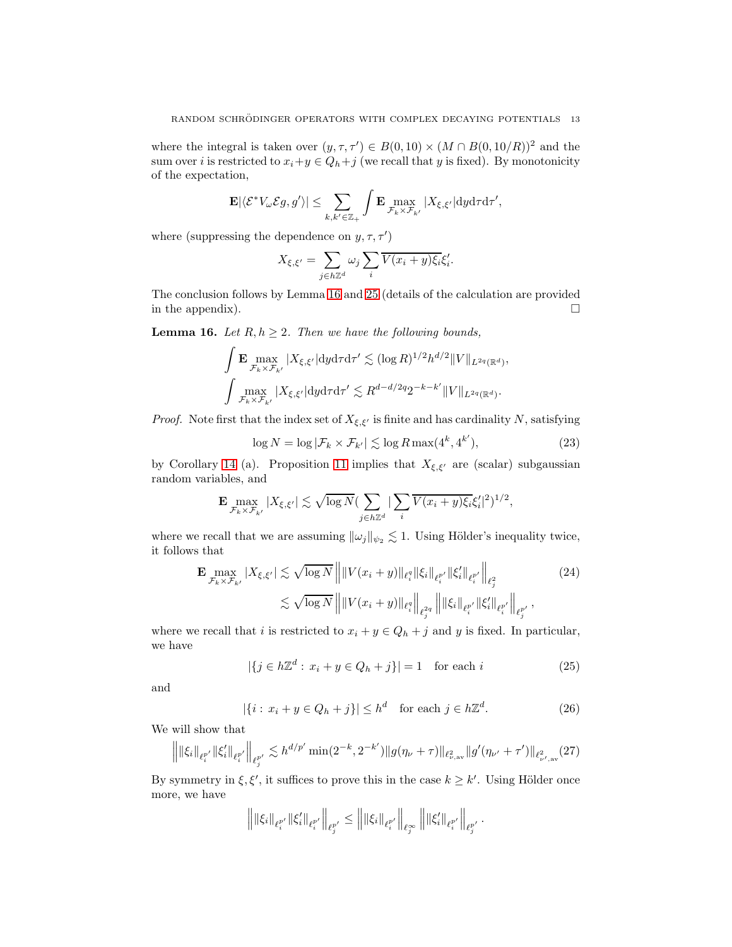where the integral is taken over  $(y, \tau, \tau') \in B(0, 10) \times (M \cap B(0, 10/R))^2$  and the sum over *i* is restricted to  $x_i + y \in Q_h + j$  (we recall that y is fixed). By monotonicity of the expectation,

$$
\mathbf{E}|\langle \mathcal{E}^*V_{\omega} \mathcal{E}g, g' \rangle| \leq \sum_{k, k' \in \mathbb{Z}_+} \int \mathbf{E} \max_{\mathcal{F}_k \times \mathcal{F}_{k'}} |X_{\xi, \xi'}| \mathrm{d}y \mathrm{d}\tau \mathrm{d}\tau',
$$

where (suppressing the dependence on  $y, \tau, \tau'$ )

$$
X_{\xi,\xi'} = \sum_{j \in h \mathbb{Z}^d} \omega_j \sum_i \overline{V(x_i + y)\xi_i} \xi'_i.
$$

The conclusion follows by Lemma [16](#page-12-0) and [25](#page-22-0) (details of the calculation are provided in the appendix).  $\Box$ 

<span id="page-12-0"></span>**Lemma 16.** Let  $R, h \geq 2$ . Then we have the following bounds,

$$
\begin{aligned} &\int \mathbf{E} \max_{\mathcal{F}_k\times\mathcal{F}_{k'}}|X_{\xi,\xi'}| \mathrm{d}y\mathrm{d}\tau\mathrm{d}\tau'\lesssim (\log R)^{1/2}h^{d/2}\|V\|_{L^{2q}(\mathbb{R}^d)},\\ &\int \max_{\mathcal{F}_k\times\mathcal{F}_{k'}}|X_{\xi,\xi'}| \mathrm{d}y\mathrm{d}\tau\mathrm{d}\tau'\lesssim R^{d-d/2q}2^{-k-k'}\|V\|_{L^{2q}(\mathbb{R}^d)}. \end{aligned}
$$

*Proof.* Note first that the index set of  $X_{\xi,\xi'}$  is finite and has cardinality N, satisfying

<span id="page-12-5"></span>
$$
\log N = \log |\mathcal{F}_k \times \mathcal{F}_{k'}| \lesssim \log R \max(4^k, 4^{k'}),\tag{23}
$$

by Corollary [14](#page-9-6) (a). Proposition [11](#page-8-2) implies that  $X_{\xi,\xi'}$  are (scalar) subgaussian random variables, and

$$
\mathbf{E} \max_{\mathcal{F}_k\times\mathcal{F}_{k'}}|X_{\xi,\xi'}| \lesssim \sqrt{\log N} (\sum_{j\in h\mathbb{Z}^d} |\sum_i \overline{V(x_i+y)\xi_i}\xi_i'|^2)^{1/2},
$$

where we recall that we are assuming  $\|\omega_j\|_{\psi_2} \lesssim 1$ . Using Hölder's inequality twice, it follows that

$$
\mathbf{E} \max_{\mathcal{F}_k \times \mathcal{F}_{k'}} |X_{\xi, \xi'}| \lesssim \sqrt{\log N} \left\| \|V(x_i + y)\|_{\ell_i^q} \|\xi_i\|_{\ell_i^{p'}} \|\xi'_i\|_{\ell_i^{p'}} \right\|_{\ell_j^2} \n\lesssim \sqrt{\log N} \left\| \|V(x_i + y)\|_{\ell_i^q} \right\|_{\ell_j^{2q}} \left\| \|\xi_i\|_{\ell_i^{p'}} \|\xi'_i\|_{\ell_i^{p'}} \right\|_{\ell_j^{p'}} ,
$$
\n(24)

where we recall that i is restricted to  $x_i + y \in Q_h + j$  and y is fixed. In particular, we have

<span id="page-12-4"></span><span id="page-12-1"></span>
$$
|\{j \in h\mathbb{Z}^d : x_i + y \in Q_h + j\}| = 1 \quad \text{for each } i \tag{25}
$$

and

<span id="page-12-3"></span><span id="page-12-2"></span>
$$
|\{i: x_i + y \in Q_h + j\}| \le h^d \quad \text{for each } j \in h\mathbb{Z}^d. \tag{26}
$$

We will show that

$$
\left\| \|\xi_i\|_{\ell_i^{p'}} \|\xi_i'\|_{\ell_i^{p'}} \right\|_{\ell_j^{p'}} \lesssim h^{d/p'} \min(2^{-k}, 2^{-k'}) \|g(\eta_\nu + \tau)\|_{\ell_{\nu,\mathrm{av}}^2} \|g'(\eta_{\nu'} + \tau')\|_{\ell_{\nu',\mathrm{av}}^2}(27)
$$

By symmetry in  $\xi, \xi'$ , it suffices to prove this in the case  $k \geq k'$ . Using Hölder once more, we have

$$
\left\| \|\xi_i\|_{\ell_i^{p'}} \|\xi_i'\|_{\ell_i^{p'}} \right\|_{\ell_j^{p'}} \le \left\| \|\xi_i\|_{\ell_i^{p'}} \right\|_{\ell_j^{\infty}} \left\| \|\xi_i'\|_{\ell_i^{p'}} \right\|_{\ell_j^{p'}}.
$$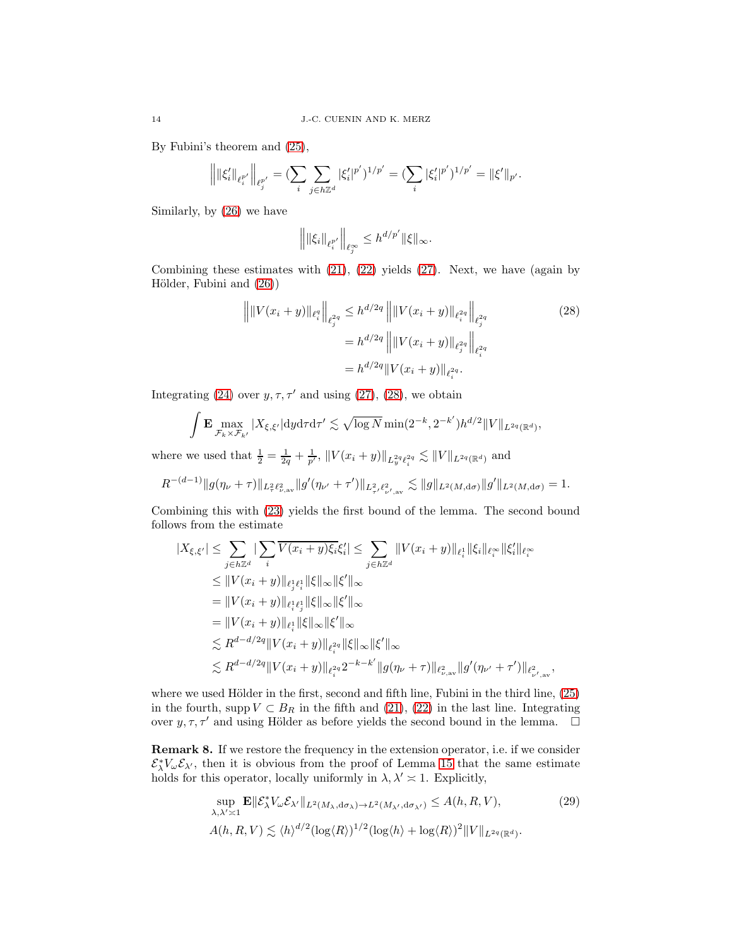By Fubini's theorem and [\(25\)](#page-12-1),

$$
\Big\| \|\xi_i'\|_{\ell_i^{p'}}\Big\|_{\ell_j^{p'}} = (\sum_i \sum_{j \in h\mathbb{Z}^d} |\xi_i'|^{p'})^{1/p'} = (\sum_i |\xi_i'|^{p'})^{1/p'} = \|\xi'\|_{p'}.
$$

Similarly, by [\(26\)](#page-12-2) we have

<span id="page-13-0"></span>
$$
\left\| \|\xi_i\|_{\ell_i^{p'}} \right\|_{\ell_j^{\infty}} \leq h^{d/p'} \|\xi\|_{\infty}.
$$

Combining these estimates with [\(21\)](#page-11-0), [\(22\)](#page-11-1) yields [\(27\)](#page-12-3). Next, we have (again by Hölder, Fubini and  $(26)$ )

$$
\| ||V(x_i + y)||_{\ell_i^q} ||_{\ell_j^{2q}} \le h^{d/2q} || ||V(x_i + y)||_{\ell_i^{2q}} ||_{\ell_j^{2q}} \tag{28}
$$

$$
= h^{d/2q} || ||V(x_i + y)||_{\ell_j^{2q}} ||_{\ell_i^{2q}} \tag{28}
$$

$$
= h^{d/2q} ||V(x_i + y)||_{\ell_i^{2q}}.
$$

Integrating [\(24\)](#page-12-4) over  $y, \tau, \tau'$  and using [\(27\)](#page-12-3), [\(28\)](#page-13-0), we obtain

$$
\int \mathbf{E} \max_{\mathcal{F}_k \times \mathcal{F}_{k'}} |X_{\xi, \xi'}| \, dy \, d\tau \, d\tau' \lesssim \sqrt{\log N} \min(2^{-k}, 2^{-k'}) h^{d/2} \|V\|_{L^{2q}(\mathbb{R}^d)},
$$

where we used that  $\frac{1}{2} = \frac{1}{2q} + \frac{1}{p'}$ ,  $||V(x_i + y)||_{L_y^{2q}} l_i^{2q} \lesssim ||V||_{L^{2q}(\mathbb{R}^d)}$  and

$$
R^{-(d-1)}\|g(\eta_{\nu}+\tau)\|_{L^2_{\tau}\ell^2_{\nu,\mathrm{av}}}\|g'(\eta_{\nu'}+\tau')\|_{L^2_{\tau'}\ell^2_{\nu',\mathrm{av}}}\lesssim \|g\|_{L^2(M,\mathrm{d}\sigma)}\|g'\|_{L^2(M,\mathrm{d}\sigma)}=1.
$$

Combining this with [\(23\)](#page-12-5) yields the first bound of the lemma. The second bound follows from the estimate

$$
|X_{\xi,\xi'}| \leq \sum_{j\in h\mathbb{Z}^d} |\sum_i \overline{V(x_i+y)\xi_i}\xi'_i| \leq \sum_{j\in h\mathbb{Z}^d} ||V(x_i+y)||_{\ell_i^1} ||\xi_i||_{\ell_i^{\infty}} ||\xi'_i||_{\ell_i^{\infty}}
$$
  
\n
$$
\leq ||V(x_i+y)||_{\ell_i^1\ell_i^1} ||\xi||_{\infty} ||\xi'||_{\infty}
$$
  
\n
$$
= ||V(x_i+y)||_{\ell_i^1\ell_j^1} ||\xi||_{\infty} ||\xi'||_{\infty}
$$
  
\n
$$
\leq R^{d-d/2q} ||V(x_i+y)||_{\ell_i^{2q}} ||\xi||_{\infty} ||\xi'||_{\infty}
$$
  
\n
$$
\leq R^{d-d/2q} ||V(x_i+y)||_{\ell_i^{2q}} 2^{-k-k'} ||g(\eta_{\nu} + \tau)||_{\ell_{\nu,\text{av}}^2} ||g'(\eta_{\nu'} + \tau')||_{\ell_{\nu',\text{av}}^2},
$$

where we used Hölder in the first, second and fifth line, Fubini in the third line,  $(25)$ in the fourth, supp  $V \subset B_R$  in the fifth and [\(21\)](#page-11-0), [\(22\)](#page-11-1) in the last line. Integrating over  $y, \tau, \tau'$  and using Hölder as before yields the second bound in the lemma.  $\Box$ 

Remark 8. If we restore the frequency in the extension operator, i.e. if we consider  $\mathcal{E}^*_{\lambda}V_{\omega}\mathcal{E}_{\lambda'}$ , then it is obvious from the proof of Lemma [15](#page-10-2) that the same estimate holds for this operator, locally uniformly in  $\lambda, \lambda' \approx 1$ . Explicitly,

<span id="page-13-1"></span>
$$
\sup_{\lambda,\lambda'\geq 1} \mathbf{E} \|\mathcal{E}_{\lambda}^* V_{\omega} \mathcal{E}_{\lambda'} \|_{L^2(M_\lambda, d\sigma_\lambda) \to L^2(M_{\lambda'}, d\sigma_{\lambda'})} \leq A(h, R, V),
$$
\n
$$
A(h, R, V) \lesssim \langle h \rangle^{d/2} (\log \langle R \rangle)^{1/2} (\log \langle h \rangle + \log \langle R \rangle)^2 \|V\|_{L^{2q}(\mathbb{R}^d)}.
$$
\n(29)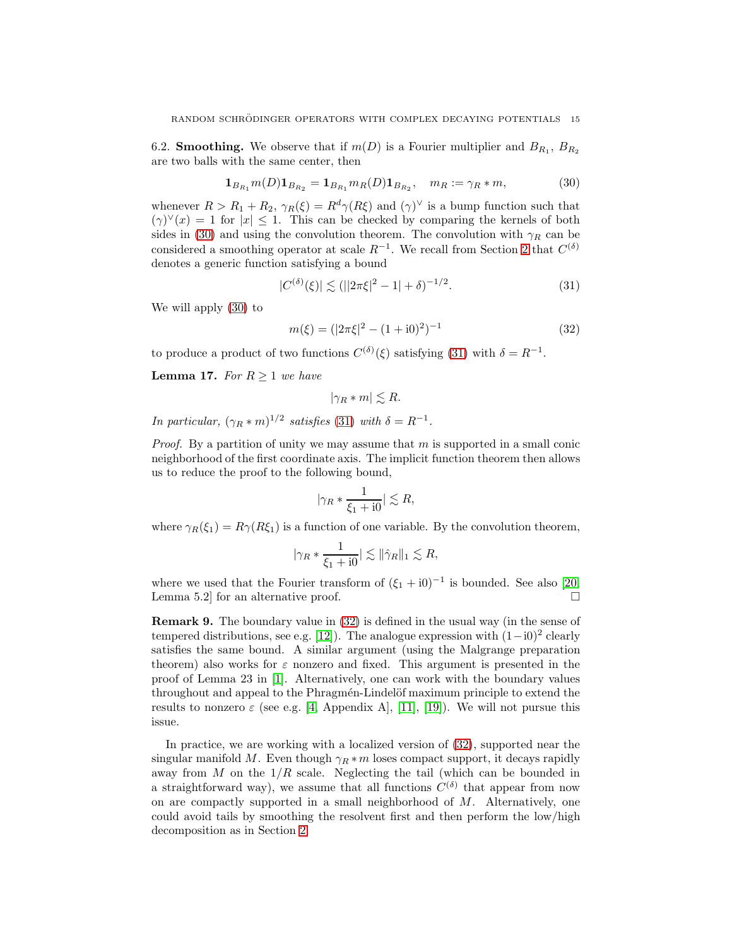<span id="page-14-0"></span>6.2. **Smoothing.** We observe that if  $m(D)$  is a Fourier multiplier and  $B_{R_1}$ ,  $B_{R_2}$ are two balls with the same center, then

$$
\mathbf{1}_{B_{R_1}} m(D) \mathbf{1}_{B_{R_2}} = \mathbf{1}_{B_{R_1}} m_R(D) \mathbf{1}_{B_{R_2}}, \quad m_R := \gamma_R * m,
$$
 (30)

whenever  $R > R_1 + R_2$ ,  $\gamma_R(\xi) = R^d \gamma(R\xi)$  and  $(\gamma)^{\vee}$  is a bump function such that  $(\gamma)^{\vee}(x) = 1$  for  $|x| \leq 1$ . This can be checked by comparing the kernels of both sides in [\(30\)](#page-14-1) and using the convolution theorem. The convolution with  $\gamma_R$  can be considered a smoothing operator at scale  $R^{-1}$ . We recall from Section [2](#page-4-0) that  $C^{(\delta)}$ denotes a generic function satisfying a bound

<span id="page-14-1"></span>
$$
|C^{(\delta)}(\xi)| \lesssim (||2\pi\xi|^2 - 1| + \delta)^{-1/2}.
$$
 (31)

We will apply [\(30\)](#page-14-1) to

$$
m(\xi) = (|2\pi\xi|^2 - (1+i0)^2)^{-1}
$$
\n(32)

to produce a product of two functions  $C^{(\delta)}(\xi)$  satisfying [\(31\)](#page-14-2) with  $\delta = R^{-1}$ .

<span id="page-14-4"></span>**Lemma 17.** For  $R \geq 1$  we have

<span id="page-14-3"></span><span id="page-14-2"></span> $|\gamma_R * m| \lesssim R.$ 

In particular,  $(\gamma_R * m)^{1/2}$  satisfies [\(31\)](#page-14-2) with  $\delta = R^{-1}$ .

*Proof.* By a partition of unity we may assume that m is supported in a small conic neighborhood of the first coordinate axis. The implicit function theorem then allows us to reduce the proof to the following bound,

$$
|\gamma_R * \frac{1}{\xi_1 + i0}| \lesssim R,
$$

where  $\gamma_R(\xi_1) = R\gamma(R\xi_1)$  is a function of one variable. By the convolution theorem,

$$
|\gamma_R * \frac{1}{\xi_1 + i0}| \lesssim \|\hat{\gamma}_R\|_1 \lesssim R,
$$

where we used that the Fourier transform of  $(\xi_1 + i0)^{-1}$  is bounded. See also [\[20,](#page-25-9) Lemma 5.2] for an alternative proof.

Remark 9. The boundary value in [\(32\)](#page-14-3) is defined in the usual way (in the sense of tempered distributions, see e.g. [\[12\]](#page-25-10)). The analogue expression with  $(1-i0)^2$  clearly satisfies the same bound. A similar argument (using the Malgrange preparation theorem) also works for  $\varepsilon$  nonzero and fixed. This argument is presented in the proof of Lemma 23 in [\[1\]](#page-24-2). Alternatively, one can work with the boundary values throughout and appeal to the Phragmén-Lindelöf maximum principle to extend the results to nonzero  $\varepsilon$  (see e.g. [\[4,](#page-24-9) Appendix A], [\[11\]](#page-25-11), [\[19\]](#page-25-12)). We will not pursue this issue.

In practice, we are working with a localized version of [\(32\)](#page-14-3), supported near the singular manifold M. Even though  $\gamma_R * m$  loses compact support, it decays rapidly away from  $M$  on the  $1/R$  scale. Neglecting the tail (which can be bounded in a straightforward way), we assume that all functions  $C^{(\delta)}$  that appear from now on are compactly supported in a small neighborhood of  $M$ . Alternatively, one could avoid tails by smoothing the resolvent first and then perform the low/high decomposition as in Section [2.](#page-4-0)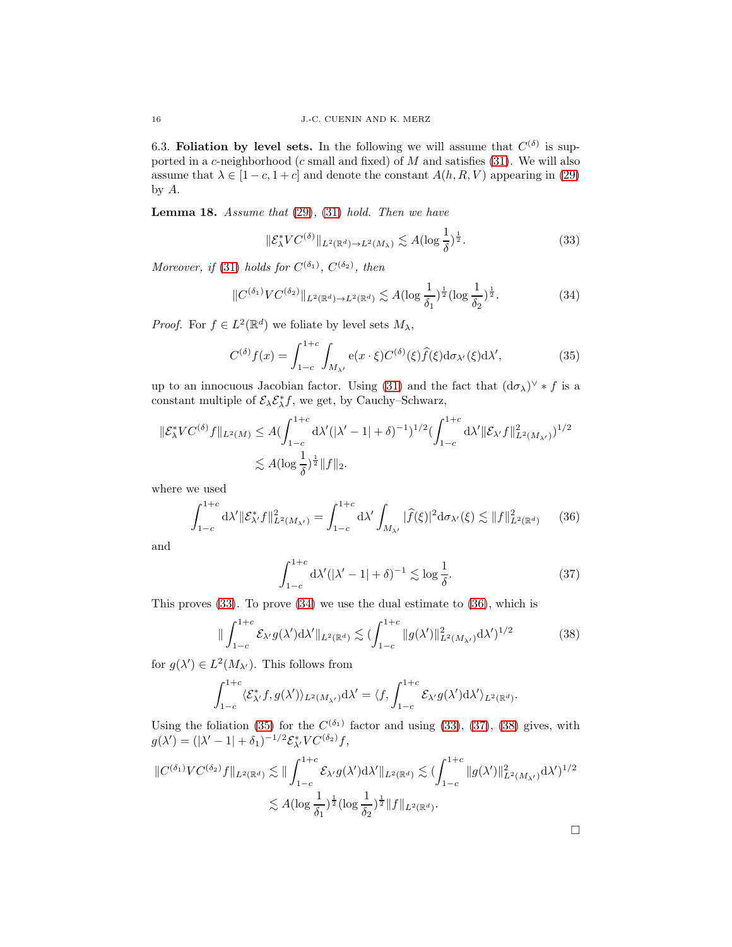6.3. Foliation by level sets. In the following we will assume that  $C^{(\delta)}$  is supported in a  $c$ -neighborhood ( $c$  small and fixed) of  $M$  and satisfies [\(31\)](#page-14-2). We will also assume that  $\lambda \in [1-c, 1+c]$  and denote the constant  $A(h, R, V)$  appearing in [\(29\)](#page-13-1) by A.

<span id="page-15-6"></span>**Lemma 18.** Assume that  $(29)$ ,  $(31)$  hold. Then we have

<span id="page-15-3"></span><span id="page-15-1"></span><span id="page-15-0"></span>
$$
\|\mathcal{E}_{\lambda}^* VC^{(\delta)}\|_{L^2(\mathbb{R}^d)\to L^2(M_{\lambda})} \lesssim A(\log\frac{1}{\delta})^{\frac{1}{2}}.
$$
 (33)

Moreover, if [\(31\)](#page-14-2) holds for  $C^{(\delta_1)}$ ,  $C^{(\delta_2)}$ , then

$$
||C^{(\delta_1)}VC^{(\delta_2)}||_{L^2(\mathbb{R}^d)\to L^2(\mathbb{R}^d)} \lesssim A(\log\frac{1}{\delta_1})^{\frac{1}{2}}(\log\frac{1}{\delta_2})^{\frac{1}{2}}.
$$
 (34)

*Proof.* For  $f \in L^2(\mathbb{R}^d)$  we foliate by level sets  $M_{\lambda}$ ,

$$
C^{(\delta)}f(x) = \int_{1-c}^{1+c} \int_{M_{\lambda'}} e(x \cdot \xi) C^{(\delta)}(\xi) \widehat{f}(\xi) d\sigma_{\lambda'}(\xi) d\lambda', \qquad (35)
$$

up to an innocuous Jacobian factor. Using [\(31\)](#page-14-2) and the fact that  $(d\sigma_{\lambda})^{\vee} * f$  is a constant multiple of  $\mathcal{E}_{\lambda} \mathcal{E}_{\lambda}^{*} f$ , we get, by Cauchy–Schwarz,

$$
\begin{aligned} \|\mathcal{E}^*_{\lambda} VC^{(\delta)}f\|_{L^2(M)} &\leq A (\int_{1-c}^{1+c} \mathrm{d}\lambda'(|\lambda'-1|+\delta)^{-1})^{1/2} (\int_{1-c}^{1+c} \mathrm{d}\lambda' \|\mathcal{E}_{\lambda'}f\|_{L^2(M_{\lambda'})}^2)^{1/2} \\ &\lesssim A (\log \frac{1}{\delta})^{\frac{1}{2}} \|f\|_2. \end{aligned}
$$

where we used

$$
\int_{1-c}^{1+c} d\lambda' ||\mathcal{E}_{\lambda'}^* f||_{L^2(M_{\lambda'})}^2 = \int_{1-c}^{1+c} d\lambda' \int_{M_{\lambda'}} |\widehat{f}(\xi)|^2 d\sigma_{\lambda'}(\xi) \lesssim ||f||_{L^2(\mathbb{R}^d)}^2 \qquad (36)
$$

and

<span id="page-15-2"></span>
$$
\int_{1-c}^{1+c} d\lambda' (|\lambda'-1|+\delta)^{-1} \lesssim \log \frac{1}{\delta}.\tag{37}
$$

This proves [\(33\)](#page-15-0). To prove [\(34\)](#page-15-1) we use the dual estimate to [\(36\)](#page-15-2), which is

$$
\|\int_{1-c}^{1+c} \mathcal{E}_{\lambda'} g(\lambda') d\lambda' \|_{L^2(\mathbb{R}^d)} \lesssim \left(\int_{1-c}^{1+c} \|g(\lambda')\|_{L^2(M_{\lambda'})}^2 d\lambda'\right)^{1/2} \tag{38}
$$

for  $g(\lambda') \in L^2(M_{\lambda'})$ . This follows from

$$
\int_{1-c}^{1+c} \langle \mathcal{E}^*_{\lambda'} f, g(\lambda') \rangle_{L^2(M_{\lambda'})} d\lambda' = \langle f, \int_{1-c}^{1+c} \mathcal{E}_{\lambda'} g(\lambda') d\lambda' \rangle_{L^2(\mathbb{R}^d)}.
$$

Using the foliation [\(35\)](#page-15-3) for the  $C^{(\delta_1)}$  factor and using [\(33\)](#page-15-0), [\(37\)](#page-15-4), [\(38\)](#page-15-5) gives, with  $g(\lambda') = (|\lambda' - 1| + \delta_1)^{-1/2} \mathcal{E}_{\lambda'}^* V C^{(\delta_2)} f,$ 

$$
||C^{(\delta_1)}VC^{(\delta_2)}f||_{L^2(\mathbb{R}^d)} \lesssim ||\int_{1-c}^{1+c} \mathcal{E}_{\lambda' }g(\lambda')d\lambda'||_{L^2(\mathbb{R}^d)} \lesssim (\int_{1-c}^{1+c} ||g(\lambda')||^2_{L^2(M_{\lambda'})} d\lambda')^{1/2}
$$
  

$$
\lesssim A(\log \frac{1}{\delta_1})^{\frac{1}{2}}(\log \frac{1}{\delta_2})^{\frac{1}{2}}||f||_{L^2(\mathbb{R}^d)}.
$$

<span id="page-15-5"></span><span id="page-15-4"></span> $\Box$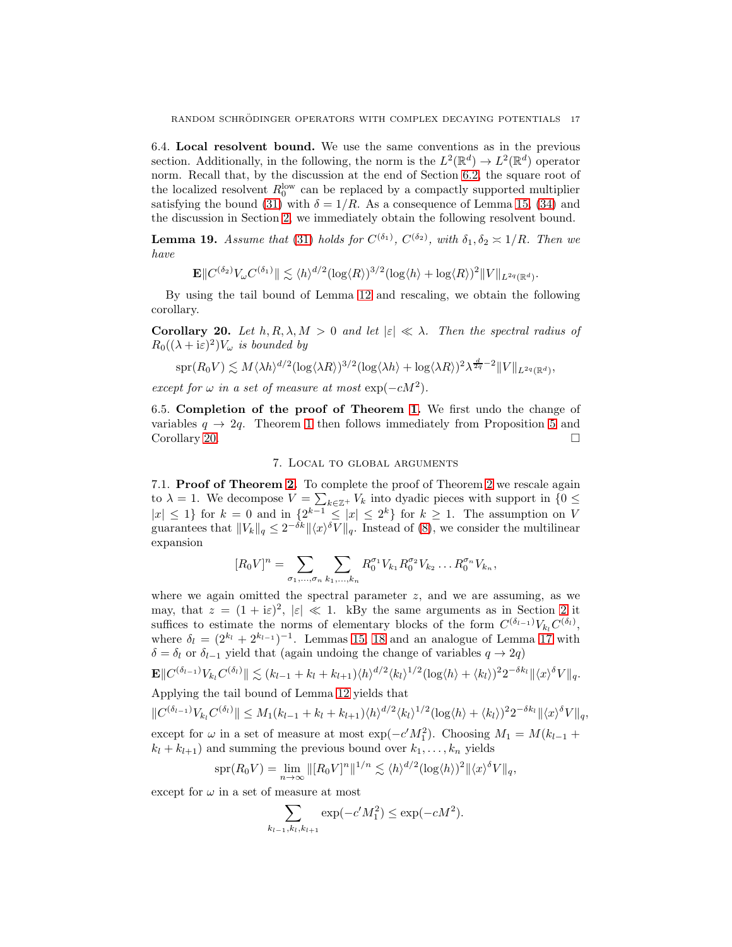6.4. Local resolvent bound. We use the same conventions as in the previous section. Additionally, in the following, the norm is the  $L^2(\mathbb{R}^d) \to L^2(\mathbb{R}^d)$  operator norm. Recall that, by the discussion at the end of Section [6.2,](#page-14-0) the square root of the localized resolvent  $R_0^{\text{low}}$  can be replaced by a compactly supported multiplier satisfying the bound [\(31\)](#page-14-2) with  $\delta = 1/R$ . As a consequence of Lemma [15,](#page-10-2) [\(34\)](#page-15-1) and the discussion in Section [2,](#page-4-0) we immediately obtain the following resolvent bound.

<span id="page-16-0"></span>**Lemma 19.** Assume that [\(31\)](#page-14-2) holds for  $C^{(\delta_1)}$ ,  $C^{(\delta_2)}$ , with  $\delta_1, \delta_2 \approx 1/R$ . Then we have

$$
\mathbf{E} \|C^{(\delta_2)} V_\omega C^{(\delta_1)} \| \lesssim \langle h \rangle^{d/2} (\log \langle R \rangle)^{3/2} (\log \langle h \rangle + \log \langle R \rangle)^2 \|V\|_{L^{2q}(\mathbb{R}^d)}.
$$

By using the tail bound of Lemma [12](#page-9-7) and rescaling, we obtain the following corollary.

<span id="page-16-2"></span>Corollary 20. Let  $h, R, \lambda, M > 0$  and let  $|\varepsilon| \ll \lambda$ . Then the spectral radius of  $R_0((\lambda + i\varepsilon)^2)V_\omega$  is bounded by

$$
\mathrm{spr}(R_0V) \lesssim M \langle \lambda h \rangle^{d/2} (\log \langle \lambda R \rangle)^{3/2} (\log \langle \lambda h \rangle + \log \langle \lambda R \rangle)^2 \lambda^{\frac{d}{2q}-2} \|V\|_{L^{2q}(\mathbb{R}^d)},
$$

except for  $\omega$  in a set of measure at most  $\exp(-cM^2)$ .

6.5. Completion of the proof of Theorem [1.](#page-1-2) We first undo the change of variables  $q \to 2q$ . Theorem [1](#page-1-2) then follows immediately from Proposition [5](#page-5-0) and Corollary [20.](#page-16-2)

#### 7. Local to global arguments

<span id="page-16-1"></span>7.1. Proof of Theorem [2.](#page-2-2) To complete the proof of Theorem [2](#page-2-2) we rescale again to  $\lambda = 1$ . We decompose  $V = \sum_{k \in \mathbb{Z}^+} V_k$  into dyadic pieces with support in  $\{0 \leq$  $|x| \leq 1$  for  $k = 0$  and in  $\{2^{k-1} \leq |x| \leq 2^k\}$  for  $k \geq 1$ . The assumption on V guarantees that  $||V_k||_q \leq 2^{-\delta k} ||\langle x \rangle^{\delta} V||_q$ . Instead of [\(8\)](#page-5-3), we consider the multilinear expansion

$$
[R_0 V]^n = \sum_{\sigma_1, ..., \sigma_n} \sum_{k_1, ..., k_n} R_0^{\sigma_1} V_{k_1} R_0^{\sigma_2} V_{k_2} \dots R_0^{\sigma_n} V_{k_n},
$$

where we again omitted the spectral parameter  $z$ , and we are assuming, as we may, that  $z = (1 + i\varepsilon)^2$ ,  $|\varepsilon| \ll 1$ . kBy the same arguments as in Section [2](#page-4-0) it suffices to estimate the norms of elementary blocks of the form  $C^{(\delta_{l-1})}V_{k_l}C^{(\delta_l)}$ , where  $\delta_l = (2^{k_l} + 2^{k_{l-1}})^{-1}$ . Lemmas [15,](#page-10-2) [18](#page-15-6) and an analogue of Lemma [17](#page-14-4) with  $\delta = \delta_l$  or  $\delta_{l-1}$  yield that (again undoing the change of variables  $q \to 2q$ )

$$
\mathbf{E} \Vert C^{(\delta_{l-1})} V_{k_l} C^{(\delta_l)} \Vert \lesssim (k_{l-1} + k_l + k_{l+1}) \langle h \rangle^{d/2} \langle k_l \rangle^{1/2} (\log \langle h \rangle + \langle k_l \rangle)^2 2^{-\delta k_l} \Vert \langle x \rangle^{\delta} V \Vert_q.
$$

Applying the tail bound of Lemma [12](#page-9-7) yields that

$$
||C^{(\delta_{l-1})}V_{k_l}C^{(\delta_l)}|| \leq M_1(k_{l-1}+k_l+k_{l+1})\langle h \rangle^{d/2}\langle k_l \rangle^{1/2}(\log \langle h \rangle + \langle k_l \rangle)^2 2^{-\delta k_l}||\langle x \rangle^{\delta}V||_q,
$$

except for  $\omega$  in a set of measure at most exp( $-c'M_1^2$ ). Choosing  $M_1 = M(k_{l-1} +$  $k_l + k_{l+1}$ ) and summing the previous bound over  $k_1, \ldots, k_n$  yields

$$
\mathrm{spr}(R_0 V) = \lim_{n \to \infty} \|[R_0 V]^n\|^{1/n} \lesssim \langle h \rangle^{d/2} (\log \langle h \rangle)^2 \|\langle x \rangle^{\delta} V\|_q,
$$

except for  $\omega$  in a set of measure at most

$$
\sum_{k_{l-1}, k_l, k_{l+1}} \exp(-c'M_1^2) \le \exp(-cM^2).
$$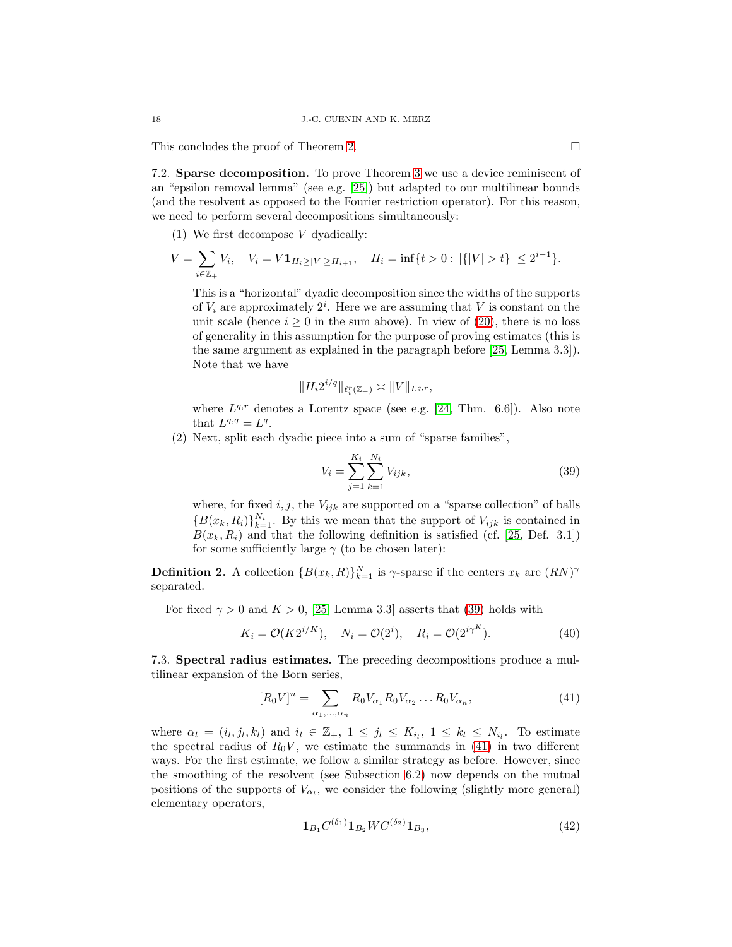<span id="page-17-4"></span>This concludes the proof of Theorem [2.](#page-2-2)

7.2. Sparse decomposition. To prove Theorem [3](#page-2-0) we use a device reminiscent of an "epsilon removal lemma" (see e.g. [\[25\]](#page-25-5)) but adapted to our multilinear bounds (and the resolvent as opposed to the Fourier restriction operator). For this reason, we need to perform several decompositions simultaneously:

(1) We first decompose V dyadically:

$$
V = \sum_{i \in \mathbb{Z}_+} V_i, \quad V_i = V \mathbf{1}_{H_i \ge |V| \ge H_{i+1}}, \quad H_i = \inf\{t > 0 : |\{|V| > t\}| \le 2^{i-1}\}.
$$

This is a "horizontal" dyadic decomposition since the widths of the supports of  $V_i$  are approximately  $2^i$ . Here we are assuming that V is constant on the unit scale (hence  $i \geq 0$  in the sum above). In view of [\(20\)](#page-10-3), there is no loss of generality in this assumption for the purpose of proving estimates (this is the same argument as explained in the paragraph before [\[25,](#page-25-5) Lemma 3.3]). Note that we have

$$
||H_i 2^{i/q}||_{\ell_i^r(\mathbb{Z}_+)} \asymp ||V||_{L^{q,r}},
$$

where  $L^{q,r}$  denotes a Lorentz space (see e.g. [\[24,](#page-25-13) Thm. 6.6]). Also note that  $L^{q,q} = L^q$ .

(2) Next, split each dyadic piece into a sum of "sparse families",

<span id="page-17-3"></span><span id="page-17-0"></span>
$$
V_i = \sum_{j=1}^{K_i} \sum_{k=1}^{N_i} V_{ijk},
$$
\n(39)

where, for fixed  $i, j$ , the  $V_{ijk}$  are supported on a "sparse collection" of balls  ${B(x_k, R_i)}_{k=1}^{N_i}$ . By this we mean that the support of  $V_{ijk}$  is contained in  $B(x_k, R_i)$  and that the following definition is satisfied (cf. [\[25,](#page-25-5) Def. 3.1]) for some sufficiently large  $\gamma$  (to be chosen later):

**Definition 2.** A collection  ${B(x_k, R)}_{k=1}^N$  is  $\gamma$ -sparse if the centers  $x_k$  are  $(RN)^\gamma$ separated.

For fixed  $\gamma > 0$  and  $K > 0$ , [\[25,](#page-25-5) Lemma 3.3] asserts that [\(39\)](#page-17-0) holds with

$$
K_i = \mathcal{O}(K2^{i/K}), \quad N_i = \mathcal{O}(2^i), \quad R_i = \mathcal{O}(2^{i\gamma^K}).
$$
\n
$$
(40)
$$

7.3. Spectral radius estimates. The preceding decompositions produce a multilinear expansion of the Born series,

$$
[R_0 V]^n = \sum_{\alpha_1, ..., \alpha_n} R_0 V_{\alpha_1} R_0 V_{\alpha_2} ... R_0 V_{\alpha_n},
$$
\n(41)

where  $\alpha_l = (i_l, j_l, k_l)$  and  $i_l \in \mathbb{Z}_+$ ,  $1 \leq j_l \leq K_{i_l}$ ,  $1 \leq k_l \leq N_{i_l}$ . To estimate the spectral radius of  $R_0V$ , we estimate the summands in [\(41\)](#page-17-1) in two different ways. For the first estimate, we follow a similar strategy as before. However, since the smoothing of the resolvent (see Subsection [6.2\)](#page-14-0) now depends on the mutual positions of the supports of  $V_{\alpha_l}$ , we consider the following (slightly more general) elementary operators,

<span id="page-17-2"></span><span id="page-17-1"></span>
$$
\mathbf{1}_{B_1} C^{(\delta_1)} \mathbf{1}_{B_2} W C^{(\delta_2)} \mathbf{1}_{B_3},\tag{42}
$$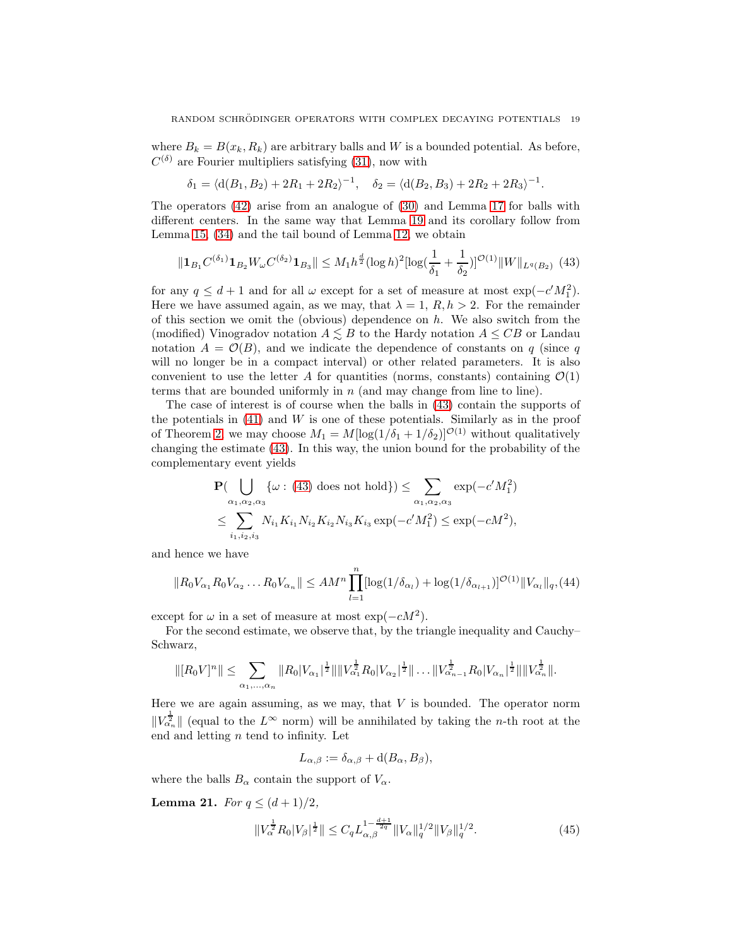where  $B_k = B(x_k, R_k)$  are arbitrary balls and W is a bounded potential. As before,  $C^{(\delta)}$  are Fourier multipliers satisfying [\(31\)](#page-14-2), now with

<span id="page-18-0"></span>
$$
\delta_1 = \langle d(B_1, B_2) + 2R_1 + 2R_2 \rangle^{-1}, \quad \delta_2 = \langle d(B_2, B_3) + 2R_2 + 2R_3 \rangle^{-1}.
$$

The operators [\(42\)](#page-17-2) arise from an analogue of [\(30\)](#page-14-1) and Lemma [17](#page-14-4) for balls with different centers. In the same way that Lemma [19](#page-16-0) and its corollary follow from Lemma [15,](#page-10-2) [\(34\)](#page-15-1) and the tail bound of Lemma [12,](#page-9-7) we obtain

$$
\|\mathbf{1}_{B_1} C^{(\delta_1)} \mathbf{1}_{B_2} W_{\omega} C^{(\delta_2)} \mathbf{1}_{B_3}\| \leq M_1 h^{\frac{d}{2}} (\log h)^2 [\log(\frac{1}{\delta_1} + \frac{1}{\delta_2})]^{\mathcal{O}(1)} \|W\|_{L^q(B_2)} \tag{43}
$$

for any  $q \leq d+1$  and for all  $\omega$  except for a set of measure at most  $\exp(-c'M_1^2)$ . Here we have assumed again, as we may, that  $\lambda = 1$ ,  $R, h > 2$ . For the remainder of this section we omit the (obvious) dependence on  $h$ . We also switch from the (modified) Vinogradov notation  $A \leq B$  to the Hardy notation  $A \leq CB$  or Landau notation  $A = \mathcal{O}(B)$ , and we indicate the dependence of constants on q (since q will no longer be in a compact interval) or other related parameters. It is also convenient to use the letter A for quantities (norms, constants) containing  $\mathcal{O}(1)$ terms that are bounded uniformly in  $n$  (and may change from line to line).

The case of interest is of course when the balls in [\(43\)](#page-18-0) contain the supports of the potentials in  $(41)$  and W is one of these potentials. Similarly as in the proof of Theorem [2,](#page-2-2) we may choose  $M_1 = M[\log(1/\delta_1 + 1/\delta_2)]^{\mathcal{O}(1)}$  without qualitatively changing the estimate [\(43\)](#page-18-0). In this way, the union bound for the probability of the complementary event yields

$$
\mathbf{P}(\bigcup_{\alpha_1,\alpha_2,\alpha_3} \{\omega : (43) \text{ does not hold}\}) \leq \sum_{\alpha_1,\alpha_2,\alpha_3} \exp(-c'M_1^2)
$$
  

$$
\leq \sum_{i_1,i_2,i_3} N_{i_1} K_{i_1} N_{i_2} K_{i_2} N_{i_3} K_{i_3} \exp(-c'M_1^2) \leq \exp(-cM^2),
$$

and hence we have

$$
||R_0V_{\alpha_1}R_0V_{\alpha_2}\dots R_0V_{\alpha_n}|| \le AM^n \prod_{l=1}^n [\log(1/\delta_{\alpha_l}) + \log(1/\delta_{\alpha_{l+1}})]^{\mathcal{O}(1)} ||V_{\alpha_l}||_q, (44)
$$

except for  $\omega$  in a set of measure at most exp( $-cM^2$ ).

For the second estimate, we observe that, by the triangle inequality and Cauchy– Schwarz,

$$
\| [R_0V]^n \| \leq \sum_{\alpha_1, ..., \alpha_n} \| R_0 |V_{\alpha_1}|^{\frac{1}{2}} \| \| V_{\alpha_1}^{\frac{1}{2}} R_0 |V_{\alpha_2}|^{\frac{1}{2}} \| \dots \| V_{\alpha_{n-1}}^{\frac{1}{2}} R_0 |V_{\alpha_n}|^{\frac{1}{2}} \| \| V_{\alpha_n}^{\frac{1}{2}} \|.
$$

Here we are again assuming, as we may, that  $V$  is bounded. The operator norm  $||V_{\alpha_n}^{\frac{1}{2}}||$  (equal to the  $L^{\infty}$  norm) will be annihilated by taking the *n*-th root at the end and letting  $n$  tend to infinity. Let

<span id="page-18-2"></span><span id="page-18-1"></span>
$$
L_{\alpha,\beta} := \delta_{\alpha,\beta} + d(B_{\alpha}, B_{\beta}),
$$

where the balls  $B_{\alpha}$  contain the support of  $V_{\alpha}$ .

<span id="page-18-3"></span>**Lemma 21.** For  $q \leq (d+1)/2$ ,

$$
||V_{\alpha}^{\frac{1}{2}}R_0|V_{\beta}|^{\frac{1}{2}}|| \leq C_q L_{\alpha,\beta}^{1-\frac{d+1}{2q}} ||V_{\alpha}||_q^{1/2} ||V_{\beta}||_q^{1/2}.
$$
\n(45)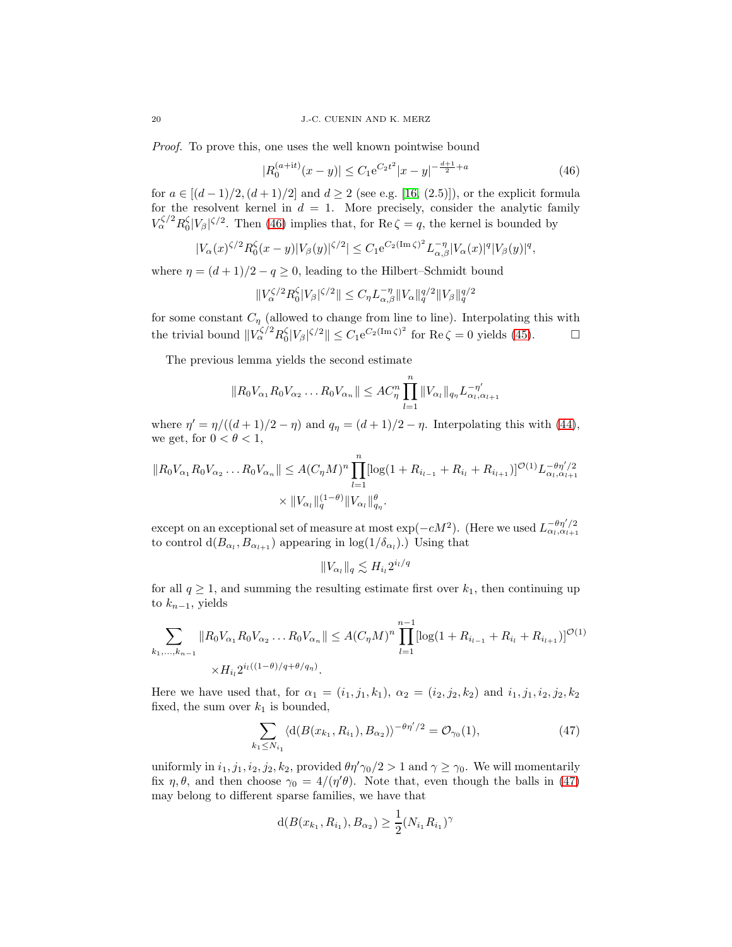Proof. To prove this, one uses the well known pointwise bound

<span id="page-19-0"></span>
$$
|R_0^{(a+{\rm i}t)}(x-y)| \le C_1 e^{C_2 t^2} |x-y|^{-\frac{d+1}{2}+a} \tag{46}
$$

for  $a \in [(d-1)/2, (d+1)/2]$  and  $d \ge 2$  (see e.g. [\[16,](#page-25-14) (2.5)]), or the explicit formula for  $d \in \mathbb{R}^n$  for the resolvent kernel in  $d = 1$ . More precisely, consider the analytic family  $V_{\alpha}^{\zeta/2} R_0^{\zeta} |V_{\beta}|^{\zeta/2}$ . Then [\(46\)](#page-19-0) implies that, for Re  $\zeta = q$ , the kernel is bounded by

$$
|V_{\alpha}(x)^{\zeta/2} R_0^{\zeta}(x-y)|V_{\beta}(y)|^{\zeta/2}| \leq C_1 e^{C_2(\text{Im }\zeta)^2} L_{\alpha,\beta}^{-\eta} |V_{\alpha}(x)|^q |V_{\beta}(y)|^q,
$$

where  $\eta = (d+1)/2 - q \ge 0$ , leading to the Hilbert–Schmidt bound

$$
||V_{\alpha}^{\zeta/2}R_0^{\zeta}|V_{\beta}|^{\zeta/2}|| \leq C_{\eta}L_{\alpha,\beta}^{-\eta}||V_{\alpha}||_{q}^{q/2}||V_{\beta}||_{q}^{q/2}
$$

for some constant  $C_{\eta}$  (allowed to change from line to line). Interpolating this with the trivial bound  $||V_{\alpha}^{\zeta/2} R_0^{\zeta} |V_{\beta}|^{\zeta/2} || \leq C_1 e^{C_2(\text{Im }\zeta)^2}$  for  $\text{Re }\zeta = 0$  yields [\(45\)](#page-18-1).

The previous lemma yields the second estimate

$$
||R_0V_{\alpha_1}R_0V_{\alpha_2}\dots R_0V_{\alpha_n}|| \leq AC_{\eta}^n \prod_{l=1}^n ||V_{\alpha_l}||_{q_{\eta}}L_{\alpha_l,\alpha_{l+1}}^{-\eta'}
$$

where  $\eta' = \eta/((d+1)/2 - \eta)$  and  $q_{\eta} = (d+1)/2 - \eta$ . Interpolating this with [\(44\)](#page-18-2), we get, for  $0 < \theta < 1$ ,

$$
||R_0V_{\alpha_1}R_0V_{\alpha_2}\dots R_0V_{\alpha_n}|| \leq A(C_{\eta}M)^n \prod_{l=1}^n [\log(1+R_{i_{l-1}}+R_{i_l}+R_{i_{l+1}})]^{\mathcal{O}(1)} L_{\alpha_l,\alpha_{l+1}}^{-\theta\eta'/2}
$$
  
 
$$
\times ||V_{\alpha_l}||_q^{(1-\theta)} ||V_{\alpha_l}||_{q_q}^{\theta}.
$$

except on an exceptional set of measure at most  $\exp(-cM^2)$ . (Here we used  $L_{\alpha_l,\alpha_{l+1}}^{-\theta\eta'/2}$ to control  $d(B_{\alpha_l}, B_{\alpha_{l+1}})$  appearing in  $log(1/\delta_{\alpha_l})$ .) Using that

<span id="page-19-1"></span>
$$
||V_{\alpha_l}||_q \lesssim H_{i_l} 2^{i_l/q}
$$

for all  $q \geq 1$ , and summing the resulting estimate first over  $k_1$ , then continuing up to  $k_{n-1}$ , yields

$$
\sum_{k_1,\dots,k_{n-1}} \|R_0 V_{\alpha_1} R_0 V_{\alpha_2} \dots R_0 V_{\alpha_n}\| \leq A (C_\eta M)^n \prod_{l=1}^{n-1} [\log(1 + R_{i_{l-1}} + R_{i_l} + R_{i_{l+1}})]^{\mathcal{O}(1)}
$$
  
 
$$
\times H_{i_l} 2^{i_l((1-\theta)/q + \theta/q_\eta)}.
$$

Here we have used that, for  $\alpha_1 = (i_1, j_1, k_1), \alpha_2 = (i_2, j_2, k_2)$  and  $i_1, j_1, i_2, j_2, k_2$ fixed, the sum over  $k_1$  is bounded,

$$
\sum_{k_1 \le N_{i_1}} \langle d(B(x_{k_1}, R_{i_1}), B_{\alpha_2}) \rangle^{-\theta \eta'/2} = \mathcal{O}_{\gamma_0}(1),\tag{47}
$$

uniformly in  $i_1, j_1, i_2, j_2, k_2$ , provided  $\theta \eta' \gamma_0/2 > 1$  and  $\gamma \geq \gamma_0$ . We will momentarily fix  $\eta$ ,  $\theta$ , and then choose  $\gamma_0 = 4/(\eta' \theta)$ . Note that, even though the balls in [\(47\)](#page-19-1) may belong to different sparse families, we have that

$$
d(B(x_{k_1}, R_{i_1}), B_{\alpha_2}) \ge \frac{1}{2}(N_{i_1} R_{i_1})^{\gamma}
$$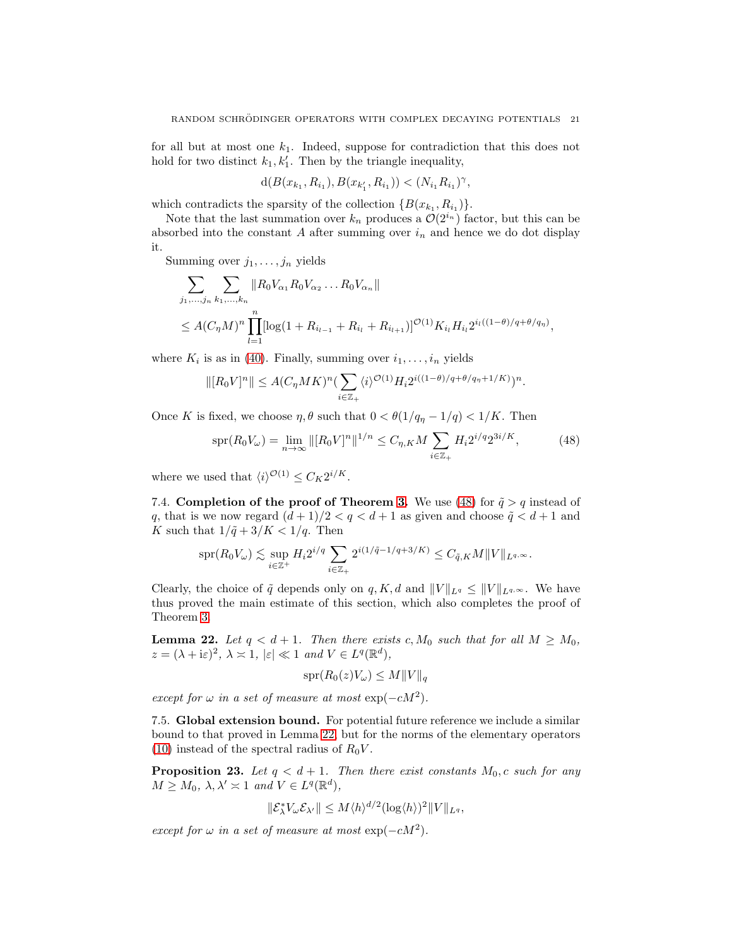for all but at most one  $k_1$ . Indeed, suppose for contradiction that this does not hold for two distinct  $k_1, k'_1$ . Then by the triangle inequality,

$$
d(B(x_{k_1}, R_{i_1}), B(x_{k'_1}, R_{i_1})) < (N_{i_1}R_{i_1})^{\gamma},
$$

which contradicts the sparsity of the collection  $\{B(x_{k_1}, R_{i_1})\}.$ 

Note that the last summation over  $k_n$  produces a  $\mathcal{O}(2^{i_n})$  factor, but this can be absorbed into the constant  $A$  after summing over  $i_n$  and hence we do dot display it.

Summing over  $j_1, \ldots, j_n$  yields

$$
\sum_{j_1,\dots,j_n} \sum_{k_1,\dots,k_n} \|R_0 V_{\alpha_1} R_0 V_{\alpha_2} \dots R_0 V_{\alpha_n}\|
$$
  
\n
$$
\leq A (C_{\eta} M)^n \prod_{l=1}^n [\log(1 + R_{i_{l-1}} + R_{i_l} + R_{i_{l+1}})]^{\mathcal{O}(1)} K_{i_l} H_{i_l} 2^{i_l((1-\theta)/q + \theta/q_\eta)},
$$

where  $K_i$  is as in [\(40\)](#page-17-3). Finally, summing over  $i_1, \ldots, i_n$  yields

$$
\|[R_0V]^n\|\leq A(C_\eta MK)^n(\sum_{i\in\mathbb{Z}_+}\langle i\rangle^{\mathcal{O}(1)}H_i2^{i((1-\theta)/q+\theta/q_\eta+1/K)})^n.
$$

Once K is fixed, we choose  $\eta$ ,  $\theta$  such that  $0 < \theta(1/q_{\eta} - 1/q) < 1/K$ . Then

$$
\text{spr}(R_0 V_\omega) = \lim_{n \to \infty} \|[R_0 V]^n\|^{1/n} \le C_{\eta, K} M \sum_{i \in \mathbb{Z}_+} H_i 2^{i/q} 2^{3i/K},\tag{48}
$$

where we used that  $\langle i \rangle^{\mathcal{O}(1)} \leq C_K 2^{i/K}$ .

7.4. Completion of the proof of Theorem [3.](#page-2-0) We use [\(48\)](#page-20-0) for  $\tilde{q} > q$  instead of q, that is we now regard  $(d+1)/2 < q < d+1$  as given and choose  $\tilde{q} < d+1$  and K such that  $1/\tilde{q} + 3/K < 1/q$ . Then

$$
\text{spr}(R_0V_\omega)\lesssim \sup_{i\in\mathbb{Z}^+}H_i2^{i/q}\sum_{i\in\mathbb{Z}_+}2^{i(1/\tilde{q}-1/q+3/K)}\leq C_{\tilde{q},K}M\|V\|_{L^{q,\infty}}.
$$

Clearly, the choice of  $\tilde{q}$  depends only on q, K, d and  $||V||_{L^q} \leq ||V||_{L^q} \sim$ . We have thus proved the main estimate of this section, which also completes the proof of Theorem [3.](#page-2-0)

<span id="page-20-1"></span>**Lemma 22.** Let  $q < d+1$ . Then there exists c,  $M_0$  such that for all  $M \geq M_0$ ,  $z = (\lambda + i\varepsilon)^2$ ,  $\lambda \asymp 1$ ,  $|\varepsilon| \ll 1$  and  $V \in L^q(\mathbb{R}^d)$ ,

<span id="page-20-0"></span>
$$
\text{spr}(R_0(z)V_\omega) \le M \|V\|_q
$$

except for  $\omega$  in a set of measure at most  $\exp(-cM^2)$ .

7.5. Global extension bound. For potential future reference we include a similar bound to that proved in Lemma [22,](#page-20-1) but for the norms of the elementary operators [\(10\)](#page-5-2) instead of the spectral radius of  $R_0V$ .

<span id="page-20-2"></span>**Proposition 23.** Let  $q < d+1$ . Then there exist constants  $M_0$ , c such for any  $M \geq M_0$ ,  $\lambda, \lambda' \asymp 1$  and  $V \in L^q(\mathbb{R}^d)$ ,

$$
\|\mathcal{E}_{\lambda}^* V_{\omega} \mathcal{E}_{\lambda'} \| \leq M \langle h \rangle^{d/2} (\log \langle h \rangle)^2 \| V \|_{L^q},
$$

except for  $\omega$  in a set of measure at most  $\exp(-cM^2)$ .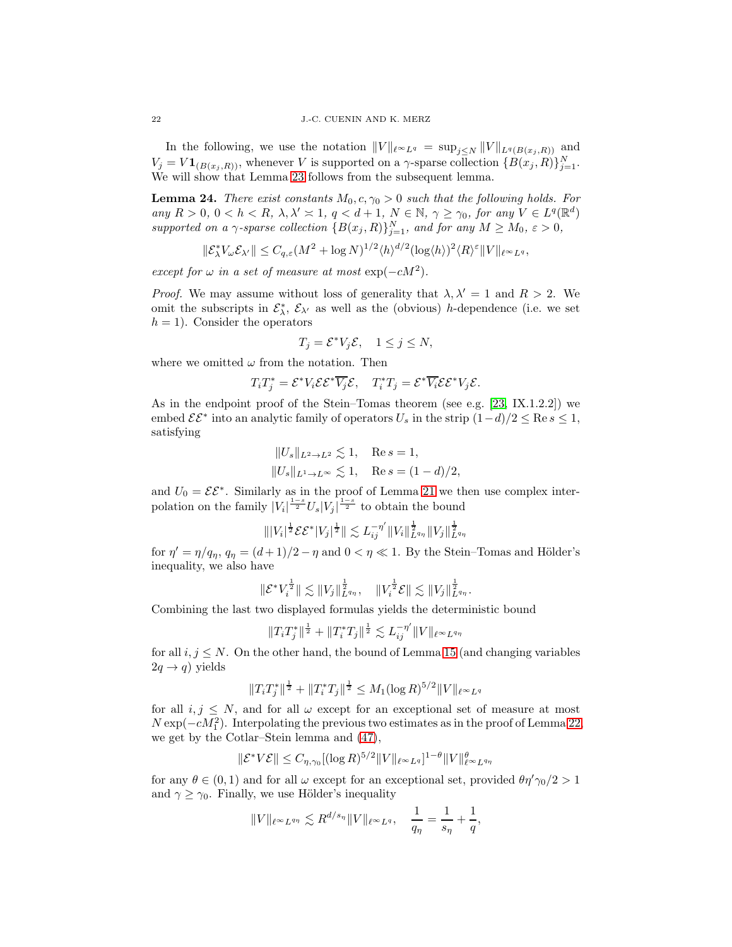In the following, we use the notation  $||V||_{\ell^{\infty}L^q} = \sup_{j\leq N} ||V||_{L^q(B(x_j,R))}$  and  $V_j = V \mathbf{1}_{(B(x_j,R))}$ , whenever V is supported on a  $\gamma$ -sparse collection  $\{B(x_j, R)\}_{j=1}^N$ . We will show that Lemma [23](#page-20-2) follows from the subsequent lemma.

<span id="page-21-0"></span>**Lemma 24.** There exist constants  $M_0, c, \gamma_0 > 0$  such that the following holds. For any  $R > 0$ ,  $0 < h < R$ ,  $\lambda, \lambda' \geq 1$ ,  $q < d+1$ ,  $N \in \mathbb{N}$ ,  $\gamma \geq \gamma_0$ , for any  $V \in L^q(\mathbb{R}^d)$ supported on a  $\gamma$ -sparse collection  $\{B(x_j, R)\}_{j=1}^N$ , and for any  $M \geq M_0$ ,  $\varepsilon > 0$ ,

$$
\|\mathcal{E}_{\lambda}^* V_{\omega} \mathcal{E}_{\lambda'}\| \leq C_{q,\varepsilon} (M^2 + \log N)^{1/2} \langle h \rangle^{d/2} (\log \langle h \rangle)^2 \langle R \rangle^{\varepsilon} \|V\|_{\ell^{\infty} L^q},
$$

except for  $\omega$  in a set of measure at most  $\exp(-cM^2)$ .

*Proof.* We may assume without loss of generality that  $\lambda, \lambda' = 1$  and  $R > 2$ . We omit the subscripts in  $\mathcal{E}^*_{\lambda}, \mathcal{E}_{\lambda'}$  as well as the (obvious) h-dependence (i.e. we set  $h = 1$ ). Consider the operators

$$
T_j = \mathcal{E}^* V_j \mathcal{E}, \quad 1 \le j \le N,
$$

where we omitted  $\omega$  from the notation. Then

$$
T_i T_j^* = \mathcal{E}^* V_i \mathcal{E} \mathcal{E}^* \overline{V_j} \mathcal{E}, \quad T_i^* T_j = \mathcal{E}^* \overline{V_i} \mathcal{E} \mathcal{E}^* V_j \mathcal{E}.
$$

As in the endpoint proof of the Stein–Tomas theorem (see e.g.  $[23, K.1.2.2]$ ) we embed  $\mathcal{E} \mathcal{E}^*$  into an analytic family of operators  $U_s$  in the strip  $(1-d)/2 \leq \text{Re } s \leq 1$ , satisfying

$$
||U_s||_{L^2 \to L^2} \lesssim 1
$$
, Re  $s = 1$ ,  
 $||U_s||_{L^1 \to L^\infty} \lesssim 1$ , Re  $s = (1 - d)/2$ ,

and  $U_0 = \mathcal{E} \mathcal{E}^*$ . Similarly as in the proof of Lemma [21](#page-18-3) we then use complex interpolation on the family  $|V_i|^{\frac{1-s}{2}} U_s |V_j|^{\frac{1-s}{2}}$  to obtain the bound

$$
\||V_i|^{\frac{1}{2}}\mathcal{E}\mathcal{E}^*|V_j|^{\frac{1}{2}}\|\lesssim L_{ij}^{-\eta'}\|V_i\|_{L^{q_\eta}}^{\frac{1}{2}}\|V_j\|_{L^{q_\eta}}^{\frac{1}{2}}
$$

for  $\eta' = \eta/q_{\eta}, q_{\eta} = (d+1)/2 - \eta$  and  $0 < \eta \ll 1$ . By the Stein–Tomas and Hölder's inequality, we also have

$$
\|\mathcal{E}^* V_i^{\frac{1}{2}}\| \lesssim \|V_j\|_{L^{q_{\eta}}}^{\frac{1}{2}}, \quad \|V_i^{\frac{1}{2}} \mathcal{E}\| \lesssim \|V_j\|_{L^{q_{\eta}}}^{\frac{1}{2}}.
$$

Combining the last two displayed formulas yields the deterministic bound

$$
\|T_iT_j^*\|^{\frac{1}{2}}+\|T_i^*T_j\|^{\frac{1}{2}}\lesssim L_{ij}^{-\eta'}\|V\|_{\ell^{\infty}L^{q_{\eta}}}
$$

for all  $i, j \leq N$ . On the other hand, the bound of Lemma [15](#page-10-2) (and changing variables  $2q \to q)$  yields

$$
||T_iT_j^*||^{\frac{1}{2}} + ||T_i^*T_j||^{\frac{1}{2}} \le M_1(\log R)^{5/2}||V||_{\ell^{\infty}L^q}
$$

for all  $i, j \leq N$ , and for all  $\omega$  except for an exceptional set of measure at most  $N \exp(-cM_1^2)$ . Interpolating the previous two estimates as in the proof of Lemma [22,](#page-20-1) we get by the Cotlar–Stein lemma and [\(47\)](#page-19-1),

$$
\|\mathcal{E}^* V \mathcal{E}\| \leq C_{\eta,\gamma_0} [(\log R)^{5/2} \|V\|_{\ell^\infty L^q}]^{1-\theta} \|V\|_{\ell^\infty L^{q_\eta}}^{\theta}
$$

for any  $\theta \in (0, 1)$  and for all  $\omega$  except for an exceptional set, provided  $\theta \eta' \gamma_0/2 > 1$ and  $\gamma \geq \gamma_0$ . Finally, we use Hölder's inequality

$$
||V||_{\ell^{\infty}L^{q_{\eta}}} \lesssim R^{d/s_{\eta}}||V||_{\ell^{\infty}L^{q}}, \quad \frac{1}{q_{\eta}} = \frac{1}{s_{\eta}} + \frac{1}{q},
$$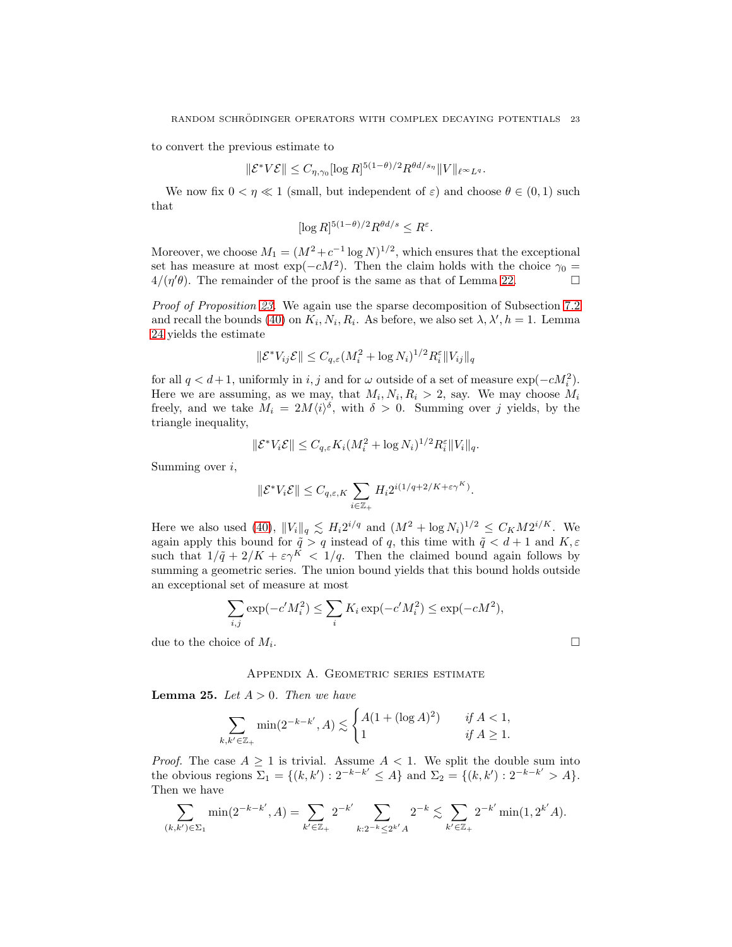to convert the previous estimate to

$$
\|\mathcal{E}^* V \mathcal{E}\| \leq C_{\eta, \gamma_0} [\log R]^{5(1-\theta)/2} R^{\theta d/s_{\eta}} \|V\|_{\ell^{\infty} L^q}.
$$

We now fix  $0 < \eta \ll 1$  (small, but independent of  $\varepsilon$ ) and choose  $\theta \in (0,1)$  such that

$$
[\log R]^{5(1-\theta)/2} R^{\theta d/s} \le R^{\varepsilon}.
$$

Moreover, we choose  $M_1 = (M^2 + c^{-1} \log N)^{1/2}$ , which ensures that the exceptional set has measure at most exp( $-cM^2$ ). Then the claim holds with the choice  $\gamma_0 =$  $4/(\eta'\theta)$ . The remainder of the proof is the same as that of Lemma [22.](#page-20-1)

Proof of Proposition [23.](#page-20-2) We again use the sparse decomposition of Subsection [7.2](#page-17-4) and recall the bounds [\(40\)](#page-17-3) on  $K_i, N_i, R_i$ . As before, we also set  $\lambda, \lambda', h = 1$ . Lemma [24](#page-21-0) yields the estimate

$$
\|\mathcal{E}^* V_{ij}\mathcal{E}\| \leq C_{q,\varepsilon} (M_i^2 + \log N_i)^{1/2} R_i^{\varepsilon} \|V_{ij}\|_q
$$

for all  $q < d+1$ , uniformly in i, j and for  $\omega$  outside of a set of measure  $\exp(-cM_i^2)$ . Here we are assuming, as we may, that  $M_i, N_i, R_i > 2$ , say. We may choose  $M_i$ freely, and we take  $M_i = 2M\langle i \rangle^{\delta}$ , with  $\delta > 0$ . Summing over j yields, by the triangle inequality,

$$
\|\mathcal{E}^* V_i \mathcal{E}\| \leq C_{q,\varepsilon} K_i (M_i^2 + \log N_i)^{1/2} R_i^{\varepsilon} \|V_i\|_q.
$$

Summing over i,

$$
\|\mathcal{E}^*V_i\mathcal{E}\| \leq C_{q,\varepsilon,K}\sum_{i\in\mathbb{Z}_+} H_i2^{i(1/q+2/K+\varepsilon\gamma^K)}.
$$

Here we also used [\(40\)](#page-17-3),  $||V_i||_q \lesssim H_i 2^{i/q}$  and  $(M^2 + \log N_i)^{1/2} \leq C_K M 2^{i/K}$ . We again apply this bound for  $\tilde{q} > q$  instead of q, this time with  $\tilde{q} < d+1$  and  $K, \varepsilon$ such that  $1/\tilde{q} + 2/K + \varepsilon \gamma^K < 1/q$ . Then the claimed bound again follows by summing a geometric series. The union bound yields that this bound holds outside an exceptional set of measure at most

$$
\sum_{i,j} \exp(-c'M_i^2) \le \sum_i K_i \exp(-c'M_i^2) \le \exp(-cM^2),
$$
  
since of  $M_i$ .

due to the choice of  $M_i$ .

Appendix A. Geometric series estimate

<span id="page-22-0"></span>**Lemma 25.** Let  $A > 0$ . Then we have

$$
\sum_{k,k'\in\mathbb{Z}_+}\min(2^{-k-k'},A)\lesssim\begin{cases}A(1+(\log A)^2)& \text{ if }A<1,\\1& \text{ if }A\geq 1.\end{cases}
$$

*Proof.* The case  $A \geq 1$  is trivial. Assume  $A < 1$ . We split the double sum into the obvious regions  $\Sigma_1 = \{(k, k') : 2^{-k-k'} \leq A\}$  and  $\Sigma_2 = \{(k, k') : 2^{-k-k'} > A\}.$ Then we have

$$
\sum_{(k,k')\in\Sigma_1} \min(2^{-k-k'}, A) = \sum_{k'\in\mathbb{Z}_+} 2^{-k'} \sum_{k:2^{-k}\leq 2^{k'}A} 2^{-k} \lesssim \sum_{k'\in\mathbb{Z}_+} 2^{-k'} \min(1, 2^{k'}A).
$$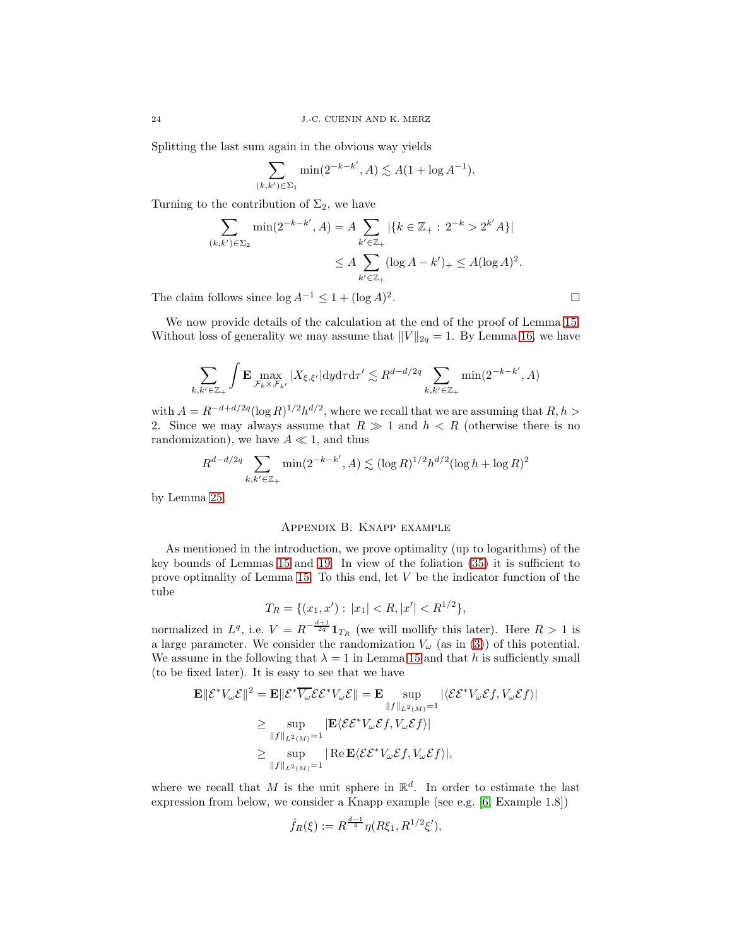Splitting the last sum again in the obvious way yields

$$
\sum_{(k,k')\in\Sigma_1} \min(2^{-k-k'}, A) \lesssim A(1+\log A^{-1}).
$$

Turning to the contribution of  $\Sigma_2$ , we have

$$
\sum_{(k,k')\in\Sigma_2} \min(2^{-k-k'}, A) = A \sum_{k'\in\mathbb{Z}_+} |\{k\in\mathbb{Z}_+ : 2^{-k} > 2^{k'}A\}|
$$
  

$$
\leq A \sum_{k'\in\mathbb{Z}_+} (\log A - k')_+ \leq A(\log A)^2.
$$

The claim follows since  $\log A^{-1} \leq 1 + (\log A)^2$ .

We now provide details of the calculation at the end of the proof of Lemma [15.](#page-10-2) Without loss of generality we may assume that  $||V||_{2q} = 1$ . By Lemma [16,](#page-12-0) we have

$$
\sum_{k,k'\in\mathbb{Z}_+} \int \mathbf{E} \max_{\mathcal{F}_k \times \mathcal{F}_{k'}} |X_{\xi,\xi'}| \, dy \, d\tau \, d\tau' \lesssim R^{d-d/2q} \sum_{k,k'\in\mathbb{Z}_+} \min(2^{-k-k'}, A)
$$

with  $A = R^{-d+d/2q} (\log R)^{1/2} h^{d/2}$ , where we recall that we are assuming that  $R, h >$ 2. Since we may always assume that  $R \gg 1$  and  $h < R$  (otherwise there is no randomization), we have  $A \ll 1$ , and thus

$$
R^{d-d/2q} \sum_{k,k' \in \mathbb{Z}_+} \min(2^{-k-k'}, A) \lesssim (\log R)^{1/2} h^{d/2} (\log h + \log R)^2
$$

<span id="page-23-0"></span>by Lemma [25.](#page-22-0)

### Appendix B. Knapp example

As mentioned in the introduction, we prove optimality (up to logarithms) of the key bounds of Lemmas [15](#page-10-2) and [19.](#page-16-0) In view of the foliation [\(35\)](#page-15-3) it is sufficient to prove optimality of Lemma [15.](#page-10-2) To this end, let V be the indicator function of the tube

$$
T_R = \{(x_1, x') : |x_1| < R, |x'| < R^{1/2}\},
$$

normalized in  $L^q$ , i.e.  $V = R^{-\frac{d+1}{2q}} 1_{T_R}$  (we will mollify this later). Here  $R > 1$  is a large parameter. We consider the randomization  $V_\omega$  (as in [\(3\)](#page-0-2)) of this potential. We assume in the following that  $\lambda = 1$  in Lemma [15](#page-10-2) and that h is sufficiently small (to be fixed later). It is easy to see that we have

$$
\mathbf{E} ||\mathcal{E}^* V_\omega \mathcal{E}||^2 = \mathbf{E} ||\mathcal{E}^* \overline{V_\omega} \mathcal{E} \mathcal{E}^* V_\omega \mathcal{E}|| = \mathbf{E} \sup_{||f||_{L^2(M)}=1} |\langle \mathcal{E} \mathcal{E}^* V_\omega \mathcal{E} f, V_\omega \mathcal{E} f \rangle|
$$
  
\n
$$
\geq \sup_{||f||_{L^2(M)}=1} |\mathbf{E} \langle \mathcal{E} \mathcal{E}^* V_\omega \mathcal{E} f, V_\omega \mathcal{E} f \rangle|
$$
  
\n
$$
\geq \sup_{||f||_{L^2(M)}=1} |\operatorname{Re} \mathbf{E} \langle \mathcal{E} \mathcal{E}^* V_\omega \mathcal{E} f, V_\omega \mathcal{E} f \rangle|,
$$

where we recall that M is the unit sphere in  $\mathbb{R}^d$ . In order to estimate the last expression from below, we consider a Knapp example (see e.g. [\[6,](#page-24-8) Example 1.8])

$$
\hat{f}_R(\xi) := R^{\frac{d-1}{4}} \eta(R\xi_1, R^{1/2}\xi'),
$$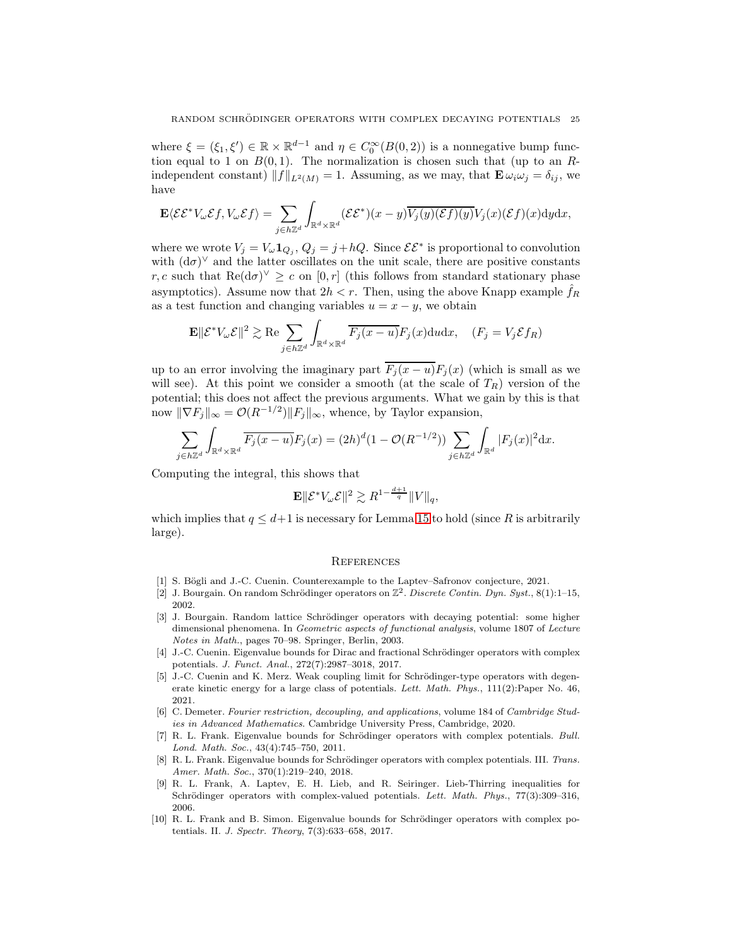where  $\xi = (\xi_1, \xi') \in \mathbb{R} \times \mathbb{R}^{d-1}$  and  $\eta \in C_0^{\infty}(B(0, 2))$  is a nonnegative bump function equal to 1 on  $B(0, 1)$ . The normalization is chosen such that (up to an Rindependent constant)  $||f||_{L^2(M)} = 1$ . Assuming, as we may, that  $\mathbf{E} \omega_i \omega_j = \delta_{ij}$ , we have

$$
\mathbf{E}\langle \mathcal{E}\mathcal{E}^*V_{\omega}\mathcal{E}f, V_{\omega}\mathcal{E}f \rangle = \sum_{j \in h\mathbb{Z}^d} \int_{\mathbb{R}^d \times \mathbb{R}^d} (\mathcal{E}\mathcal{E}^*)(x-y) \overline{V_j(y)(\mathcal{E}f)(y)} V_j(x) (\mathcal{E}f)(x) dy dx,
$$

where we wrote  $V_j = V_\omega \mathbf{1}_{Q_j}, Q_j = j + hQ$ . Since  $\mathcal{E} \mathcal{E}^*$  is proportional to convolution with  $(d\sigma)^\vee$  and the latter oscillates on the unit scale, there are positive constants r, c such that  $\text{Re}(\text{d}\sigma)^{\vee} \geq c$  on  $[0, r]$  (this follows from standard stationary phase asymptotics). Assume now that  $2h < r$ . Then, using the above Knapp example  $f_R$ as a test function and changing variables  $u = x - y$ , we obtain

$$
\mathbf{E} \|\mathcal{E}^* V_{\omega} \mathcal{E}\|^2 \gtrsim \text{Re} \sum_{j \in h \mathbb{Z}^d} \int_{\mathbb{R}^d \times \mathbb{R}^d} \overline{F_j(x - u)} F_j(x) \, \text{d}u \, \text{d}x, \quad (F_j = V_j \mathcal{E} f_R)
$$

up to an error involving the imaginary part  $\overline{F_j(x-u)}F_j(x)$  (which is small as we will see). At this point we consider a smooth (at the scale of  $T_R$ ) version of the potential; this does not affect the previous arguments. What we gain by this is that now  $\|\nabla F_j\|_{\infty} = \mathcal{O}(R^{-1/2}) \|F_j\|_{\infty}$ , whence, by Taylor expansion,

$$
\sum_{j\in h\mathbb{Z}^d}\int_{\mathbb{R}^d\times\mathbb{R}^d}\overline{F_j(x-u)}F_j(x)=(2h)^d(1-\mathcal{O}(R^{-1/2}))\sum_{j\in h\mathbb{Z}^d}\int_{\mathbb{R}^d}|F_j(x)|^2\mathrm{d}x.
$$

Computing the integral, this shows that

$$
\mathbf{E} \|\mathcal{E}^* V_{\omega} \mathcal{E} \|^2 \gtrsim R^{1 - \frac{d+1}{q}} \|V\|_q,
$$

which implies that  $q \leq d+1$  is necessary for Lemma [15](#page-10-2) to hold (since R is arbitrarily large).

#### **REFERENCES**

- <span id="page-24-6"></span><span id="page-24-2"></span>[1] S. Bögli and J.-C. Cuenin. Counterexample to the Laptev–Safronov conjecture, 2021.
- [2] J. Bourgain. On random Schrödinger operators on  $\mathbb{Z}^2$ . Discrete Contin. Dyn. Syst., 8(1):1–15, 2002.
- <span id="page-24-7"></span>[3] J. Bourgain. Random lattice Schrödinger operators with decaying potential: some higher dimensional phenomena. In Geometric aspects of functional analysis, volume 1807 of Lecture Notes in Math., pages 70–98. Springer, Berlin, 2003.
- <span id="page-24-9"></span>[4] J.-C. Cuenin. Eigenvalue bounds for Dirac and fractional Schrödinger operators with complex potentials. J. Funct. Anal., 272(7):2987–3018, 2017.
- <span id="page-24-4"></span>[5] J.-C. Cuenin and K. Merz. Weak coupling limit for Schrödinger-type operators with degenerate kinetic energy for a large class of potentials. Lett. Math. Phys., 111(2): Paper No. 46, 2021.
- <span id="page-24-8"></span>[6] C. Demeter. Fourier restriction, decoupling, and applications, volume 184 of Cambridge Studies in Advanced Mathematics. Cambridge University Press, Cambridge, 2020.
- <span id="page-24-0"></span>[7] R. L. Frank. Eigenvalue bounds for Schrödinger operators with complex potentials. Bull. Lond. Math. Soc., 43(4):745–750, 2011.
- <span id="page-24-5"></span>[8] R. L. Frank. Eigenvalue bounds for Schrödinger operators with complex potentials. III. Trans. Amer. Math. Soc., 370(1):219–240, 2018.
- <span id="page-24-3"></span>[9] R. L. Frank, A. Laptev, E. H. Lieb, and R. Seiringer. Lieb-Thirring inequalities for Schrödinger operators with complex-valued potentials. Lett. Math. Phys., 77(3):309-316, 2006.
- <span id="page-24-1"></span>[10] R. L. Frank and B. Simon. Eigenvalue bounds for Schrödinger operators with complex potentials. II. J. Spectr. Theory, 7(3):633–658, 2017.